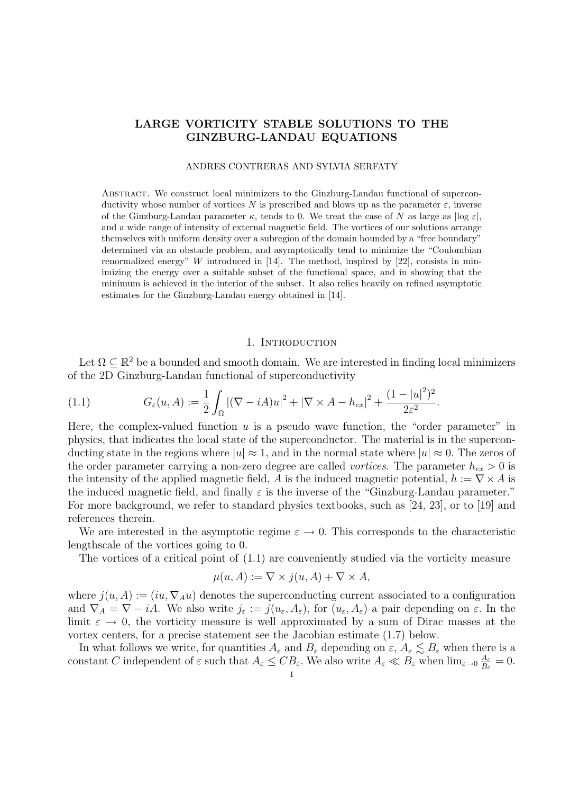## LARGE VORTICITY STABLE SOLUTIONS TO THE GINZBURG-LANDAU EQUATIONS

### ANDRES CONTRERAS AND SYLVIA SERFATY

Abstract. We construct local minimizers to the Ginzburg-Landau functional of superconductivity whose number of vortices N is prescribed and blows up as the parameter  $\varepsilon$ , inverse of the Ginzburg-Landau parameter  $\kappa$ , tends to 0. We treat the case of N as large as  $|\log \varepsilon|$ , and a wide range of intensity of external magnetic field. The vortices of our solutions arrange themselves with uniform density over a subregion of the domain bounded by a "free boundary" determined via an obstacle problem, and asymptotically tend to minimize the "Coulombian renormalized energy" W introduced in  $[14]$ . The method, inspired by  $[22]$ , consists in minimizing the energy over a suitable subset of the functional space, and in showing that the minimum is achieved in the interior of the subset. It also relies heavily on refined asymptotic estimates for the Ginzburg-Landau energy obtained in [14].

### 1. INTRODUCTION

Let  $\Omega \subseteq \mathbb{R}^2$  be a bounded and smooth domain. We are interested in finding local minimizers of the 2D Ginzburg-Landau functional of superconductivity

(1.1) 
$$
G_{\varepsilon}(u, A) := \frac{1}{2} \int_{\Omega} |(\nabla - iA)u|^2 + |\nabla \times A - h_{ex}|^2 + \frac{(1 - |u|^2)^2}{2\varepsilon^2}.
$$

Here, the complex-valued function  $u$  is a pseudo wave function, the "order parameter" in physics, that indicates the local state of the superconductor. The material is in the superconducting state in the regions where  $|u| \approx 1$ , and in the normal state where  $|u| \approx 0$ . The zeros of the order parameter carrying a non-zero degree are called *vortices*. The parameter  $h_{ex} > 0$  is the intensity of the applied magnetic field, A is the induced magnetic potential,  $h := \nabla \times A$  is the induced magnetic field, and finally  $\varepsilon$  is the inverse of the "Ginzburg-Landau parameter." For more background, we refer to standard physics textbooks, such as [24, 23], or to [19] and references therein.

We are interested in the asymptotic regime  $\varepsilon \to 0$ . This corresponds to the characteristic lengthscale of the vortices going to 0.

The vortices of a critical point of (1.1) are conveniently studied via the vorticity measure

$$
\mu(u, A) := \nabla \times j(u, A) + \nabla \times A,
$$

where  $j(u, A) := (iu, \nabla_A u)$  denotes the superconducting current associated to a configuration and  $\nabla_A = \nabla - iA$ . We also write  $j_\varepsilon := j(u_\varepsilon, A_\varepsilon)$ , for  $(u_\varepsilon, A_\varepsilon)$  a pair depending on  $\varepsilon$ . In the limit  $\varepsilon \to 0$ , the vorticity measure is well approximated by a sum of Dirac masses at the vortex centers, for a precise statement see the Jacobian estimate (1.7) below.

In what follows we write, for quantities  $A_\varepsilon$  and  $B_\varepsilon$  depending on  $\varepsilon$ ,  $A_\varepsilon \lesssim B_\varepsilon$  when there is a constant C independent of  $\varepsilon$  such that  $A_\varepsilon \leq CB_\varepsilon$ . We also write  $A_\varepsilon \ll B_\varepsilon$  when  $\lim_{\varepsilon \to 0} \frac{A_\varepsilon}{B_\varepsilon}$  $\frac{A_{\varepsilon}}{B_{\varepsilon}}=0.$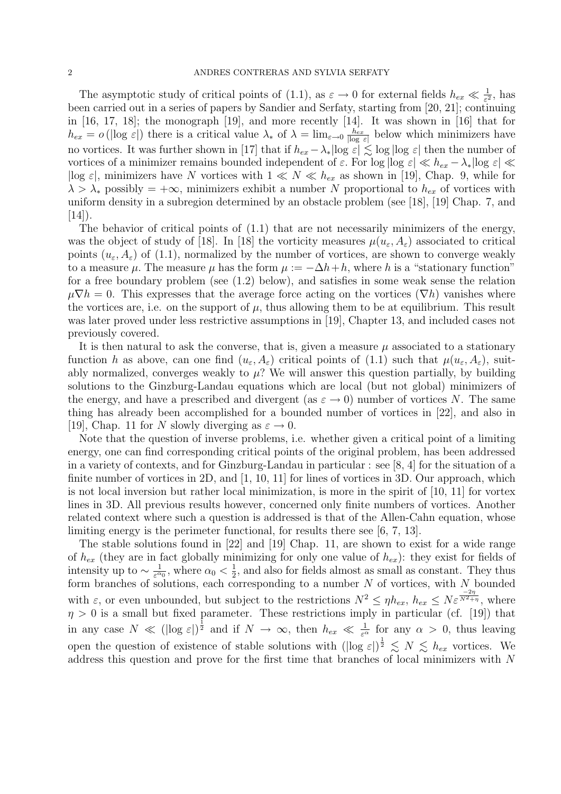The asymptotic study of critical points of (1.1), as  $\varepsilon \to 0$  for external fields  $h_{ex} \ll \frac{1}{\varepsilon^2}$ , has been carried out in a series of papers by Sandier and Serfaty, starting from [20, 21]; continuing in [16, 17, 18]; the monograph [19], and more recently [14]. It was shown in [16] that for  $h_{ex} = o(|\log \varepsilon|)$  there is a critical value  $\lambda_*$  of  $\lambda = \lim_{\varepsilon \to 0} \frac{h_{ex}}{|\log \varepsilon|}$  $\frac{h_{ex}}{|\log \varepsilon|}$  below which minimizers have no vortices. It was further shown in [17] that if  $h_{ex} - \lambda_* |\log \varepsilon| \lesssim \log |\log \varepsilon|$  then the number of vortices of a minimizer remains bounded independent of  $\varepsilon$ . For log  $|\log \varepsilon| \ll h_{ex} - \lambda_* |\log \varepsilon| \ll$  $|\log \varepsilon|$ , minimizers have N vortices with  $1 \ll N \ll h_{ex}$  as shown in [19], Chap. 9, while for  $\lambda > \lambda_*$  possibly = + $\infty$ , minimizers exhibit a number N proportional to  $h_{ex}$  of vortices with uniform density in a subregion determined by an obstacle problem (see [18], [19] Chap. 7, and  $[14]$ ).

The behavior of critical points of  $(1.1)$  that are not necessarily minimizers of the energy, was the object of study of [18]. In [18] the vorticity measures  $\mu(u_{\varepsilon}, A_{\varepsilon})$  associated to critical points  $(u_{\varepsilon}, A_{\varepsilon})$  of (1.1), normalized by the number of vortices, are shown to converge weakly to a measure  $\mu$ . The measure  $\mu$  has the form  $\mu := -\Delta h + h$ , where h is a "stationary function" for a free boundary problem (see (1.2) below), and satisfies in some weak sense the relation  $\mu \nabla h = 0$ . This expresses that the average force acting on the vortices  $(\nabla h)$  vanishes where the vortices are, i.e. on the support of  $\mu$ , thus allowing them to be at equilibrium. This result was later proved under less restrictive assumptions in [19], Chapter 13, and included cases not previously covered.

It is then natural to ask the converse, that is, given a measure  $\mu$  associated to a stationary function h as above, can one find  $(u_{\varepsilon}, A_{\varepsilon})$  critical points of (1.1) such that  $\mu(u_{\varepsilon}, A_{\varepsilon})$ , suitably normalized, converges weakly to  $\mu$ ? We will answer this question partially, by building solutions to the Ginzburg-Landau equations which are local (but not global) minimizers of the energy, and have a prescribed and divergent (as  $\varepsilon \to 0$ ) number of vortices N. The same thing has already been accomplished for a bounded number of vortices in [22], and also in [19], Chap. 11 for N slowly diverging as  $\varepsilon \to 0$ .

Note that the question of inverse problems, i.e. whether given a critical point of a limiting energy, one can find corresponding critical points of the original problem, has been addressed in a variety of contexts, and for Ginzburg-Landau in particular : see [8, 4] for the situation of a finite number of vortices in 2D, and  $[1, 10, 11]$  for lines of vortices in 3D. Our approach, which is not local inversion but rather local minimization, is more in the spirit of [10, 11] for vortex lines in 3D. All previous results however, concerned only finite numbers of vortices. Another related context where such a question is addressed is that of the Allen-Cahn equation, whose limiting energy is the perimeter functional, for results there see [6, 7, 13].

The stable solutions found in [22] and [19] Chap. 11, are shown to exist for a wide range of  $h_{ex}$  (they are in fact globally minimizing for only one value of  $h_{ex}$ ): they exist for fields of intensity up to  $\sim \frac{1}{\epsilon^{\alpha}}$  $\frac{1}{\varepsilon^{\alpha_0}}$ , where  $\alpha_0 < \frac{1}{2}$  $\frac{1}{2}$ , and also for fields almost as small as constant. They thus form branches of solutions, each corresponding to a number N of vortices, with N bounded with  $\varepsilon$ , or even unbounded, but subject to the restrictions  $N^2 \leq \eta h_{ex}$ ,  $h_{ex} \leq N \varepsilon^{\frac{-2\eta}{N^2+\eta}}$ , where  $\eta > 0$  is a small but fixed parameter. These restrictions imply in particular (cf. [19]) that in any case  $N \ll (|\log \varepsilon|)^{\frac{1}{2}}$  and if  $N \to \infty$ , then  $h_{ex} \ll \frac{1}{\varepsilon^{\alpha}}$  for any  $\alpha > 0$ , thus leaving open the question of existence of stable solutions with  $(\log \varepsilon)^{\frac{1}{2}} \leq N \leq h_{ex}$  vortices. We address this question and prove for the first time that branches of local minimizers with N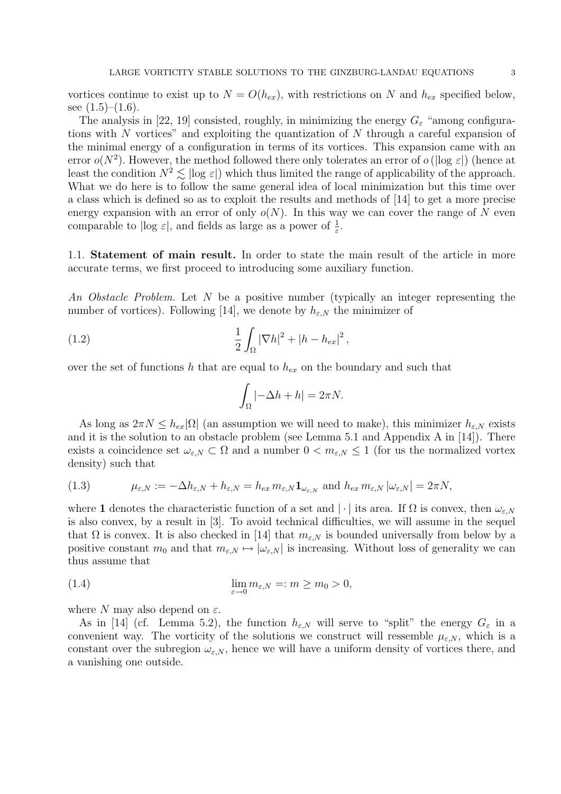vortices continue to exist up to  $N = O(h_{ex})$ , with restrictions on N and  $h_{ex}$  specified below, see  $(1.5)$ – $(1.6)$ .

The analysis in [22, 19] consisted, roughly, in minimizing the energy  $G_{\varepsilon}$  "among configurations with N vortices" and exploiting the quantization of N through a careful expansion of the minimal energy of a configuration in terms of its vortices. This expansion came with an error  $o(N^2)$ . However, the method followed there only tolerates an error of  $o(|\log \varepsilon|)$  (hence at least the condition  $N^2 \leq |\log \varepsilon|$  which thus limited the range of applicability of the approach. What we do here is to follow the same general idea of local minimization but this time over a class which is defined so as to exploit the results and methods of [14] to get a more precise energy expansion with an error of only  $o(N)$ . In this way we can cover the range of N even comparable to  $|\log \varepsilon|$ , and fields as large as a power of  $\frac{1}{\varepsilon}$ .

1.1. Statement of main result. In order to state the main result of the article in more accurate terms, we first proceed to introducing some auxiliary function.

An Obstacle Problem. Let N be a positive number (typically an integer representing the number of vortices). Following [14], we denote by  $h_{\varepsilon,N}$  the minimizer of

(1.2) 
$$
\frac{1}{2} \int_{\Omega} |\nabla h|^2 + |h - h_{ex}|^2,
$$

over the set of functions h that are equal to  $h_{ex}$  on the boundary and such that

$$
\int_{\Omega} \left| -\Delta h + h \right| = 2\pi N.
$$

As long as  $2\pi N \leq h_{ex}|\Omega|$  (an assumption we will need to make), this minimizer  $h_{\varepsilon,N}$  exists and it is the solution to an obstacle problem (see Lemma 5.1 and Appendix A in [14]). There exists a coincidence set  $\omega_{\varepsilon,N} \subset \Omega$  and a number  $0 < m_{\varepsilon,N} \leq 1$  (for us the normalized vortex density) such that

(1.3) 
$$
\mu_{\varepsilon,N} := -\Delta h_{\varepsilon,N} + h_{\varepsilon,N} = h_{ex} m_{\varepsilon,N} \mathbf{1}_{\omega_{\varepsilon,N}} \text{ and } h_{ex} m_{\varepsilon,N} |\omega_{\varepsilon,N}| = 2\pi N,
$$

where 1 denotes the characteristic function of a set and  $|\cdot|$  its area. If  $\Omega$  is convex, then  $\omega_{\varepsilon,N}$ is also convex, by a result in [3]. To avoid technical difficulties, we will assume in the sequel that  $\Omega$  is convex. It is also checked in [14] that  $m_{\varepsilon,N}$  is bounded universally from below by a positive constant  $m_0$  and that  $m_{\varepsilon,N} \mapsto |\omega_{\varepsilon,N}|$  is increasing. Without loss of generality we can thus assume that

(1.4) 
$$
\lim_{\varepsilon \to 0} m_{\varepsilon, N} =: m \ge m_0 > 0,
$$

where N may also depend on  $\varepsilon$ .

As in [14] (cf. Lemma 5.2), the function  $h_{\varepsilon,N}$  will serve to "split" the energy  $G_{\varepsilon}$  in a convenient way. The vorticity of the solutions we construct will ressemble  $\mu_{\varepsilon,N}$ , which is a constant over the subregion  $\omega_{\varepsilon,N}$ , hence we will have a uniform density of vortices there, and a vanishing one outside.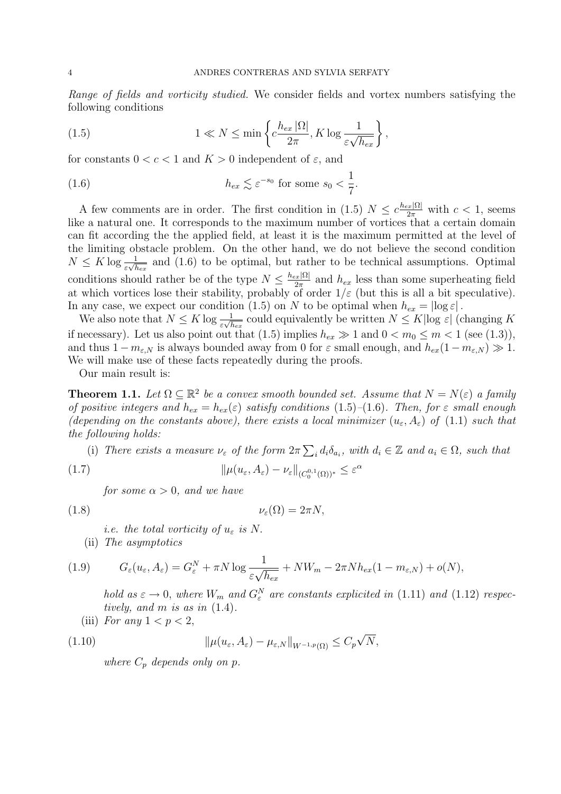Range of fields and vorticity studied. We consider fields and vortex numbers satisfying the following conditions

(1.5) 
$$
1 \ll N \le \min\left\{c\frac{h_{ex}|\Omega|}{2\pi}, K\log\frac{1}{\varepsilon\sqrt{h_{ex}}}\right\},\,
$$

for constants  $0 < c < 1$  and  $K > 0$  independent of  $\varepsilon$ , and

(1.6) 
$$
h_{ex} \lesssim \varepsilon^{-s_0} \text{ for some } s_0 < \frac{1}{7}.
$$

A few comments are in order. The first condition in  $(1.5)$   $N \leq c \frac{h_{ex} |\Omega|}{2\pi}$  with  $c < 1$ , seems like a natural one. It corresponds to the maximum number of vortices that a certain domain can fit according the the applied field, at least it is the maximum permitted at the level of the limiting obstacle problem. On the other hand, we do not believe the second condition  $N \leq K \log \frac{1}{\varepsilon \sqrt{h_{ex}}}$  and (1.6) to be optimal, but rather to be technical assumptions. Optimal conditions should rather be of the type  $N \leq \frac{h_{ex}|\Omega|}{2\pi}$  $rac{2\pi |M|}{2\pi}$  and  $h_{ex}$  less than some superheating field at which vortices lose their stability, probably of order  $1/\varepsilon$  (but this is all a bit speculative). In any case, we expect our condition (1.5) on N to be optimal when  $h_{ex} = |\log \varepsilon|$ .

We also note that  $N \leq K \log \frac{1}{\varepsilon \sqrt{h_{ex}}}$  could equivalently be written  $N \leq K |\log \varepsilon|$  (changing K if necessary). Let us also point out that (1.5) implies  $h_{ex} \gg 1$  and  $0 < m_0 \le m < 1$  (see (1.3)), and thus  $1 - m_{\varepsilon,N}$  is always bounded away from 0 for  $\varepsilon$  small enough, and  $h_{ex}(1 - m_{\varepsilon,N}) \gg 1$ . We will make use of these facts repeatedly during the proofs.

Our main result is:

**Theorem 1.1.** Let  $\Omega \subseteq \mathbb{R}^2$  be a convex smooth bounded set. Assume that  $N = N(\varepsilon)$  a family of positive integers and  $h_{ex} = h_{ex}(\varepsilon)$  satisfy conditions (1.5)–(1.6). Then, for  $\varepsilon$  small enough (depending on the constants above), there exists a local minimizer  $(u_{\varepsilon}, A_{\varepsilon})$  of (1.1) such that the following holds:

(i) There exists a measure  $\nu_{\varepsilon}$  of the form  $2\pi \sum_{i} d_i \delta_{a_i}$ , with  $d_i \in \mathbb{Z}$  and  $a_i \in \Omega$ , such that (1.7)  $\|\mu(u_{\varepsilon}, A_{\varepsilon}) - \nu_{\varepsilon}\|_{(C_0^{0,1}(\Omega))^*} \leq \varepsilon^{\alpha}$ 

for some  $\alpha > 0$ , and we have

$$
\nu_{\varepsilon}(\Omega) = 2\pi N,
$$

*i.e.* the total vorticity of  $u_{\varepsilon}$  is N. (ii) The asymptotics

(1.9) 
$$
G_{\varepsilon}(u_{\varepsilon}, A_{\varepsilon}) = G_{\varepsilon}^{N} + \pi N \log \frac{1}{\varepsilon \sqrt{h_{ex}}} + NW_{m} - 2\pi Nh_{ex}(1 - m_{\varepsilon,N}) + o(N),
$$

hold as  $\varepsilon \to 0$ , where  $W_m$  and  $G_{\varepsilon}^N$  are constants explicited in (1.11) and (1.12) respectively, and m is as in (1.4).

(iii) For any  $1 < p < 2$ ,

(1.10) 
$$
\|\mu(u_{\varepsilon}, A_{\varepsilon}) - \mu_{\varepsilon, N}\|_{W^{-1,p}(\Omega)} \leq C_p \sqrt{N},
$$

where  $C_p$  depends only on p.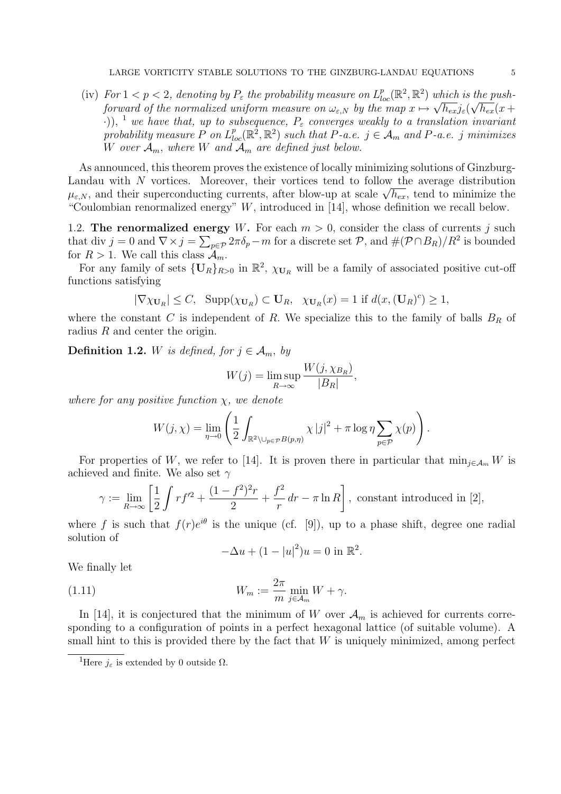(iv) For  $1 < p < 2$ , denoting by  $P_{\varepsilon}$  the probability measure on  $L_{loc}^p(\mathbb{R}^2, \mathbb{R}^2)$  which is the pushforward of the normalized uniform measure on  $\omega_{\varepsilon,N}$  by the map  $x \mapsto \sqrt{h_{ex}}j_{\varepsilon}(\sqrt{h_{ex}}(x+y))$  $\cdot$ )), <sup>1</sup> we have that, up to subsequence,  $P_{\varepsilon}$  converges weakly to a translation invariant probability measure P on  $L_{loc}^p(\mathbb{R}^2, \mathbb{R}^2)$  such that  $P$ -a.e.  $j \in \mathcal{A}_m$  and  $P$ -a.e. j minimizes W over  $\mathcal{A}_m$ , where W and  $\mathcal{A}_m$  are defined just below.

As announced, this theorem proves the existence of locally minimizing solutions of Ginzburg-Landau with  $N$  vortices. Moreover, their vortices tend to follow the average distribution Landau with N vortices. Moreover, their vortices tend to follow the average distribution  $\mu_{\varepsilon,N}$ , and their superconducting currents, after blow-up at scale  $\sqrt{h_{ex}}$ , tend to minimize the "Coulombian renormalized energy" W, introduced in [14], whose definition we recall below.

1.2. The renormalized energy W. For each  $m > 0$ , consider the class of currents j such that div  $j = 0$  and  $\nabla \times j = \sum_{p \in \mathcal{P}} 2\pi \delta_p - m$  for a discrete set  $\mathcal{P}$ , and  $\#(\mathcal{P} \cap B_R)/R^2$  is bounded for  $R > 1$ . We call this class  $\mathcal{A}_m$ .

For any family of sets  $\{U_R\}_{R>0}$  in  $\mathbb{R}^2$ ,  $\chi_{U_R}$  will be a family of associated positive cut-off functions satisfying

$$
|\nabla \chi_{\mathbf{U}_R}| \leq C
$$
,  $\text{Supp}(\chi_{\mathbf{U}_R}) \subset \mathbf{U}_R$ ,  $\chi_{\mathbf{U}_R}(x) = 1$  if  $d(x, (\mathbf{U}_R)^c) \geq 1$ ,

where the constant C is independent of R. We specialize this to the family of balls  $B_R$  of radius R and center the origin.

**Definition 1.2.** W is defined, for  $j \in A_m$ , by

$$
W(j) = \limsup_{R \to \infty} \frac{W(j, \chi_{B_R})}{|B_R|},
$$

where for any positive function  $\chi$ , we denote

$$
W(j,\chi) = \lim_{\eta \to 0} \left( \frac{1}{2} \int_{\mathbb{R}^2 \setminus \cup_{p \in \mathcal{P}} B(p,\eta)} \chi |j|^2 + \pi \log \eta \sum_{p \in \mathcal{P}} \chi(p) \right).
$$

For properties of W, we refer to [14]. It is proven there in particular that  $\min_{j\in\mathcal{A}_m}W$  is achieved and finite. We also set  $\gamma$ 

$$
\gamma := \lim_{R \to \infty} \left[ \frac{1}{2} \int r f'^2 + \frac{(1 - f^2)^2 r}{2} + \frac{f^2}{r} dr - \pi \ln R \right],
$$
 constant introduced in [2],

where f is such that  $f(r)e^{i\theta}$  is the unique (cf. [9]), up to a phase shift, degree one radial solution of

$$
-\Delta u + (1 - |u|^2)u = 0
$$
in  $\mathbb{R}^2$ .

We finally let

(1.11) 
$$
W_m := \frac{2\pi}{m} \min_{j \in \mathcal{A}_m} W + \gamma.
$$

In [14], it is conjectured that the minimum of W over  $\mathcal{A}_m$  is achieved for currents corresponding to a configuration of points in a perfect hexagonal lattice (of suitable volume). A small hint to this is provided there by the fact that  $W$  is uniquely minimized, among perfect

<sup>&</sup>lt;sup>1</sup>Here  $j_{\varepsilon}$  is extended by 0 outside  $\Omega$ .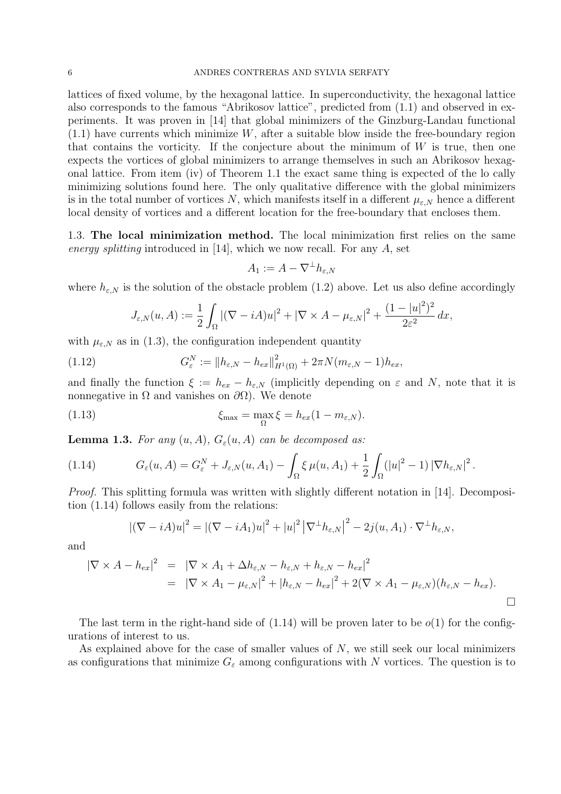### 6 ANDRES CONTRERAS AND SYLVIA SERFATY

lattices of fixed volume, by the hexagonal lattice. In superconductivity, the hexagonal lattice also corresponds to the famous "Abrikosov lattice", predicted from (1.1) and observed in experiments. It was proven in [14] that global minimizers of the Ginzburg-Landau functional  $(1.1)$  have currents which minimize W, after a suitable blow inside the free-boundary region that contains the vorticity. If the conjecture about the minimum of  $W$  is true, then one expects the vortices of global minimizers to arrange themselves in such an Abrikosov hexagonal lattice. From item (iv) of Theorem 1.1 the exact same thing is expected of the lo cally minimizing solutions found here. The only qualitative difference with the global minimizers is in the total number of vortices N, which manifests itself in a different  $\mu_{\varepsilon,N}$  hence a different local density of vortices and a different location for the free-boundary that encloses them.

1.3. The local minimization method. The local minimization first relies on the same energy splitting introduced in [14], which we now recall. For any  $A$ , set

$$
A_1 := A - \nabla^{\perp} h_{\varepsilon,N}
$$

where  $h_{\varepsilon,N}$  is the solution of the obstacle problem (1.2) above. Let us also define accordingly

$$
J_{\varepsilon,N}(u,A) := \frac{1}{2} \int_{\Omega} |(\nabla - iA)u|^2 + |\nabla \times A - \mu_{\varepsilon,N}|^2 + \frac{(1-|u|^2)^2}{2\varepsilon^2} dx,
$$

with  $\mu_{\varepsilon,N}$  as in (1.3), the configuration independent quantity

(1.12) 
$$
G_{\varepsilon}^N := \|h_{\varepsilon,N} - h_{ex}\|_{H^1(\Omega)}^2 + 2\pi N (m_{\varepsilon,N} - 1) h_{ex},
$$

and finally the function  $\xi := h_{ex} - h_{\varepsilon,N}$  (implicitly depending on  $\varepsilon$  and N, note that it is nonnegative in  $\Omega$  and vanishes on  $\partial\Omega$ ). We denote

(1.13) 
$$
\xi_{\max} = \max_{\Omega} \xi = h_{ex} (1 - m_{\varepsilon, N}).
$$

**Lemma 1.3.** For any  $(u, A)$ ,  $G_{\varepsilon}(u, A)$  can be decomposed as:

(1.14) 
$$
G_{\varepsilon}(u, A) = G_{\varepsilon}^{N} + J_{\varepsilon, N}(u, A_{1}) - \int_{\Omega} \xi \,\mu(u, A_{1}) + \frac{1}{2} \int_{\Omega} (|u|^{2} - 1) |\nabla h_{\varepsilon, N}|^{2}.
$$

Proof. This splitting formula was written with slightly different notation in [14]. Decomposition (1.14) follows easily from the relations:

$$
|(\nabla - iA)u|^2 = |(\nabla - iA_1)u|^2 + |u|^2 |\nabla^{\perp} h_{\varepsilon,N}|^2 - 2j(u, A_1) \cdot \nabla^{\perp} h_{\varepsilon,N},
$$

and

$$
\begin{array}{rcl}\n|\nabla \times A - h_{ex}|^2 & = & |\nabla \times A_1 + \Delta h_{\varepsilon,N} - h_{\varepsilon,N} + h_{\varepsilon,N} - h_{ex}|^2 \\
& = & |\nabla \times A_1 - \mu_{\varepsilon,N}|^2 + |h_{\varepsilon,N} - h_{ex}|^2 + 2(\nabla \times A_1 - \mu_{\varepsilon,N})(h_{\varepsilon,N} - h_{ex}).\n\end{array}
$$

The last term in the right-hand side of  $(1.14)$  will be proven later to be  $o(1)$  for the configurations of interest to us.

As explained above for the case of smaller values of  $N$ , we still seek our local minimizers as configurations that minimize  $G_{\varepsilon}$  among configurations with N vortices. The question is to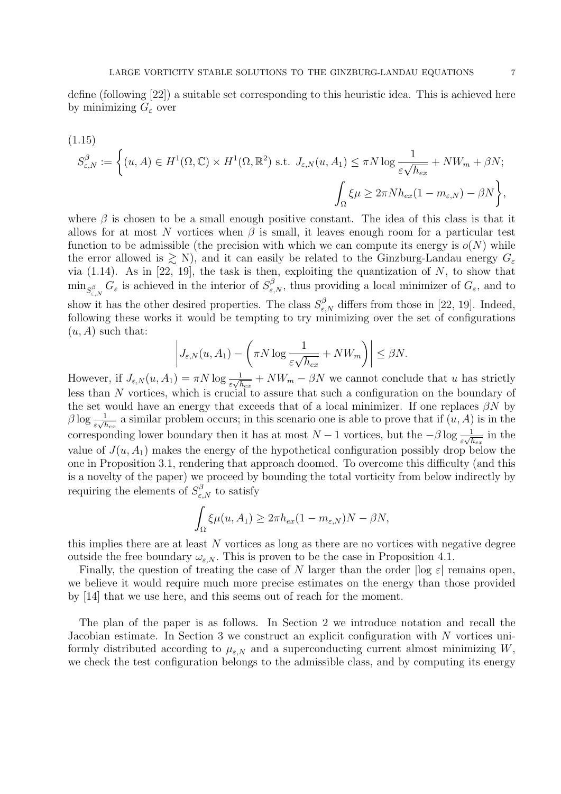define (following [22]) a suitable set corresponding to this heuristic idea. This is achieved here by minimizing  $G_{\varepsilon}$  over

(1.15)  
\n
$$
S_{\varepsilon,N}^{\beta} := \left\{ (u,A) \in H^1(\Omega,\mathbb{C}) \times H^1(\Omega,\mathbb{R}^2) \text{ s.t. } J_{\varepsilon,N}(u,A_1) \leq \pi N \log \frac{1}{\varepsilon \sqrt{h_{ex}}} + NW_m + \beta N;
$$
\n
$$
\int_{\Omega} \xi \mu \geq 2\pi N h_{ex} (1 - m_{\varepsilon,N}) - \beta N \right\},
$$

where  $\beta$  is chosen to be a small enough positive constant. The idea of this class is that it allows for at most N vortices when  $\beta$  is small, it leaves enough room for a particular test function to be admissible (the precision with which we can compute its energy is  $o(N)$  while the error allowed is  $\gtrsim$  N), and it can easily be related to the Ginzburg-Landau energy  $G_{\varepsilon}$ via  $(1.14)$ . As in [22, 19], the task is then, exploiting the quantization of N, to show that  $\min_{S_{\varepsilon,N}^{\beta}} G_{\varepsilon}$  is achieved in the interior of  $S_{\varepsilon,N}^{\beta}$ , thus providing a local minimizer of  $G_{\varepsilon}$ , and to show it has the other desired properties. The class  $S_{\varepsilon,N}^{\beta}$  differs from those in [22, 19]. Indeed, following these works it would be tempting to try minimizing over the set of configurations  $(u, A)$  such that:

$$
\left| J_{\varepsilon,N}(u, A_1) - \left( \pi N \log \frac{1}{\varepsilon \sqrt{h_{ex}}} + N W_m \right) \right| \leq \beta N.
$$

However, if  $J_{\varepsilon,N}(u, A_1) = \pi N \log \frac{1}{\varepsilon \sqrt{h_{ex}}} + N W_m - \beta N$  we cannot conclude that u has strictly less than N vortices, which is crucial to assure that such a configuration on the boundary of the set would have an energy that exceeds that of a local minimizer. If one replaces  $\beta N$  by  $\beta \log \frac{1}{\varepsilon \sqrt{h_{ex}}}$  a similar problem occurs; in this scenario one is able to prove that if  $(u, A)$  is in the corresponding lower boundary then it has at most  $N-1$  vortices, but the  $-\beta \log \frac{1}{\varepsilon \sqrt{h_{ex}}}$  in the value of  $J(u, A_1)$  makes the energy of the hypothetical configuration possibly drop below the one in Proposition 3.1, rendering that approach doomed. To overcome this difficulty (and this is a novelty of the paper) we proceed by bounding the total vorticity from below indirectly by requiring the elements of  $S_{\varepsilon,N}^{\beta}$  to satisfy

$$
\int_{\Omega} \xi \mu(u, A_1) \ge 2\pi h_{ex} (1 - m_{\varepsilon, N}) N - \beta N,
$$

this implies there are at least N vortices as long as there are no vortices with negative degree outside the free boundary  $\omega_{\varepsilon,N}$ . This is proven to be the case in Proposition 4.1.

Finally, the question of treating the case of N larger than the order  $\log \varepsilon$  remains open, we believe it would require much more precise estimates on the energy than those provided by [14] that we use here, and this seems out of reach for the moment.

The plan of the paper is as follows. In Section 2 we introduce notation and recall the Jacobian estimate. In Section 3 we construct an explicit configuration with N vortices uniformly distributed according to  $\mu_{\varepsilon,N}$  and a superconducting current almost minimizing W, we check the test configuration belongs to the admissible class, and by computing its energy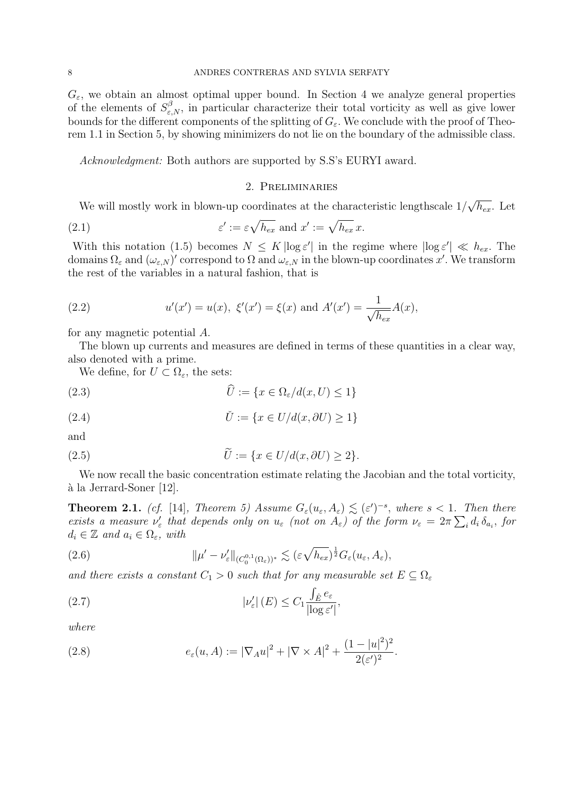$G_{\varepsilon}$ , we obtain an almost optimal upper bound. In Section 4 we analyze general properties of the elements of  $S^{\beta}_{\varepsilon,N}$ , in particular characterize their total vorticity as well as give lower bounds for the different components of the splitting of  $G_{\varepsilon}$ . We conclude with the proof of Theorem 1.1 in Section 5, by showing minimizers do not lie on the boundary of the admissible class.

Acknowledgment: Both authors are supported by S.S's EURYI award.

### 2. Preliminaries

We will mostly work in blown-up coordinates at the characteristic lengthscale  $1/$ √  $\overline{h_{ex}}$ . Let

(2.1) 
$$
\varepsilon' := \varepsilon \sqrt{h_{ex}} \text{ and } x' := \sqrt{h_{ex}} x.
$$

With this notation (1.5) becomes  $N \leq K |\log \varepsilon'|$  in the regime where  $|\log \varepsilon'| \ll h_{ex}$ . The domains  $\Omega_{\varepsilon}$  and  $(\omega_{\varepsilon,N})'$  correspond to  $\Omega$  and  $\omega_{\varepsilon,N}$  in the blown-up coordinates x'. We transform the rest of the variables in a natural fashion, that is

(2.2) 
$$
u'(x') = u(x), \ \xi'(x') = \xi(x) \text{ and } A'(x') = \frac{1}{\sqrt{h_{ex}}}A(x),
$$

for any magnetic potential A.

The blown up currents and measures are defined in terms of these quantities in a clear way, also denoted with a prime.

We define, for  $U \subset \Omega_{\varepsilon}$ , the sets:

(2.3) 
$$
U := \{x \in \Omega_{\varepsilon}/d(x,U) \leq 1\}
$$

$$
(2.4) \qquad \qquad \check{U} := \{ x \in U/d(x, \partial U) \ge 1 \}
$$

and

(2.5) 
$$
\widetilde{U} := \{x \in U/d(x, \partial U) \ge 2\}.
$$

We now recall the basic concentration estimate relating the Jacobian and the total vorticity, `a la Jerrard-Soner [12].

**Theorem 2.1.** (cf. [14], Theorem 5) Assume  $G_{\varepsilon}(u_{\varepsilon}, A_{\varepsilon}) \lesssim (\varepsilon')^{-s}$ , where  $s < 1$ . Then there exists a measure  $\nu'_{\varepsilon}$  that depends only on  $u_{\varepsilon}$  (not on  $A_{\varepsilon}$ ) of the form  $\nu_{\varepsilon} = 2\pi \sum_i d_i \delta_{a_i}$ , for  $d_i \in \mathbb{Z}$  and  $a_i \in \Omega_{\varepsilon}$ , with

,

(2.6) 
$$
\|\mu' - \nu_{\varepsilon}'\|_{(C_0^{0,1}(\Omega_{\varepsilon}))^*} \lesssim (\varepsilon \sqrt{h_{\varepsilon x}})^{\frac{1}{2}} G_{\varepsilon}(u_{\varepsilon}, A_{\varepsilon}),
$$

and there exists a constant  $C_1 > 0$  such that for any measurable set  $E \subseteq \Omega_{\varepsilon}$ 

(2.7) 
$$
|\nu_{\varepsilon}'|(E) \leq C_1 \frac{\int_{\hat{E}} e_{\varepsilon}}{|\log \varepsilon'|}
$$

where

(2.8) 
$$
e_{\varepsilon}(u, A) := |\nabla_A u|^2 + |\nabla \times A|^2 + \frac{(1 - |u|^2)^2}{2(\varepsilon')^2}.
$$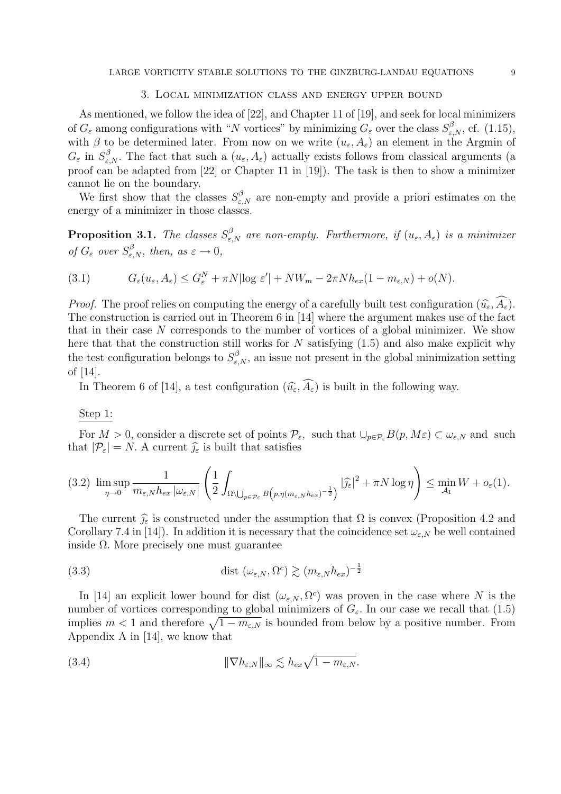### 3. Local minimization class and energy upper bound

As mentioned, we follow the idea of [22], and Chapter 11 of [19], and seek for local minimizers of  $G_{\varepsilon}$  among configurations with "N vortices" by minimizing  $G_{\varepsilon}$  over the class  $S^{\beta}_{\varepsilon,N}$ , cf. (1.15), with  $\beta$  to be determined later. From now on we write  $(u_{\varepsilon}, A_{\varepsilon})$  an element in the Argmin of  $G_{\varepsilon}$  in  $S_{\varepsilon,N}^{\beta}$ . The fact that such a  $(u_{\varepsilon}, A_{\varepsilon})$  actually exists follows from classical arguments (a proof can be adapted from [22] or Chapter 11 in [19]). The task is then to show a minimizer cannot lie on the boundary.

We first show that the classes  $S^{\beta}_{\varepsilon,N}$  are non-empty and provide a priori estimates on the energy of a minimizer in those classes.

**Proposition 3.1.** The classes  $S_{\varepsilon,N}^{\beta}$  are non-empty. Furthermore, if  $(u_{\varepsilon}, A_{\varepsilon})$  is a minimizer of  $G_{\varepsilon}$  over  $S_{\varepsilon,N}^{\beta}$ , then, as  $\varepsilon \to 0$ ,

(3.1) 
$$
G_{\varepsilon}(u_{\varepsilon}, A_{\varepsilon}) \leq G_{\varepsilon}^{N} + \pi N |\log \varepsilon'| + N W_{m} - 2\pi N h_{ex} (1 - m_{\varepsilon, N}) + o(N).
$$

*Proof.* The proof relies on computing the energy of a carefully built test configuration  $(\widehat{u_{\varepsilon}}, \widehat{A_{\varepsilon}})$ . The construction is carried out in Theorem 6 in [14] where the argument makes use of the fact that in their case N corresponds to the number of vortices of a global minimizer. We show here that that the construction still works for  $N$  satisfying  $(1.5)$  and also make explicit why the test configuration belongs to  $S_{\varepsilon,N}^{\beta}$ , an issue not present in the global minimization setting of [14].

In Theorem 6 of [14], a test configuration  $(\widehat{u}_{\varepsilon}, \widehat{A}_{\varepsilon})$  is built in the following way.

Step 1:

For  $M > 0$ , consider a discrete set of points  $\mathcal{P}_{\varepsilon}$ , such that  $\cup_{p \in \mathcal{P}_{\varepsilon}} B(p, M\varepsilon) \subset \omega_{\varepsilon,N}$  and such that  $|\mathcal{P}_{\varepsilon}| = N$ . A current  $\widehat{j}_{\varepsilon}$  is built that satisfies

$$
(3.2)\ \limsup_{\eta\to 0}\frac{1}{m_{\varepsilon,N}h_{\varepsilon x}}\Big|\bigg(\frac{1}{2}\int_{\Omega\setminus\bigcup_{p\in\mathcal{P}_{\varepsilon}}B\big(p,\eta(m_{\varepsilon,N}h_{\varepsilon x})^{-\frac{1}{2}}\big)}\big|\widehat{\jmath_{\varepsilon}}\big|^{2}+\pi N\log\eta\bigg)\leq\min_{\mathcal{A}_{1}}W+o_{\varepsilon}(1).
$$

The current  $\hat{j}_{\varepsilon}$  is constructed under the assumption that  $\Omega$  is convex (Proposition 4.2 and Corollary 7.4 in [14]). In addition it is necessary that the coincidence set  $\omega_{\varepsilon,N}$  be well contained inside  $Ω$ . More precisely one must guarantee

(3.3) dist 
$$
(\omega_{\varepsilon,N}, \Omega^c) \gtrsim (m_{\varepsilon,N} h_{ex})^{-\frac{1}{2}}
$$

In [14] an explicit lower bound for dist  $(\omega_{\varepsilon,N}, \Omega^c)$  was proven in the case where N is the number of vortices corresponding to global minimizers of  $G_{\varepsilon}$ . In our case we recall that (1.5) implies  $m < 1$  and therefore  $\sqrt{1 - m_{\varepsilon,N}}$  is bounded from below by a positive number. From Appendix A in [14], we know that

(3.4) 
$$
\|\nabla h_{\varepsilon,N}\|_{\infty} \lesssim h_{ex} \sqrt{1-m_{\varepsilon,N}}.
$$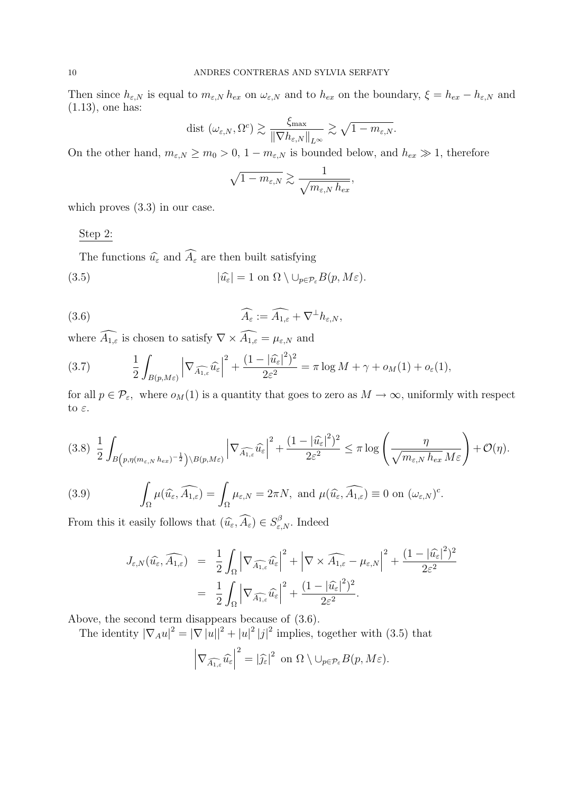Then since  $h_{\varepsilon,N}$  is equal to  $m_{\varepsilon,N}$  h<sub>ex</sub> on  $\omega_{\varepsilon,N}$  and to  $h_{ex}$  on the boundary,  $\xi = h_{ex} - h_{\varepsilon,N}$  and (1.13), one has:

$$
\mathrm{dist}\,\left(\omega_{\varepsilon,N},\Omega^c\right)\gtrsim\frac{\xi_{\max}}{\|\nabla h_{\varepsilon,N}\|_{L^\infty}}\gtrsim\sqrt{1-m_{\varepsilon,N}}.
$$

On the other hand,  $m_{\varepsilon,N} \geq m_0 > 0$ ,  $1 - m_{\varepsilon,N}$  is bounded below, and  $h_{ex} \gg 1$ , therefore

$$
\sqrt{1-m_{\varepsilon,N}} \gtrsim \frac{1}{\sqrt{m_{\varepsilon,N}\,h_{ex}}},
$$

which proves  $(3.3)$  in our case.

Step 2:

The functions  $\widehat{u}_{\varepsilon}$  and  $\widehat{A}_{\varepsilon}$  are then built satisfying

(3.5) 
$$
|\widehat{u_{\varepsilon}}| = 1 \text{ on } \Omega \setminus \cup_{p \in \mathcal{P}_{\varepsilon}} B(p, M\varepsilon).
$$

(3.6) 
$$
\widehat{A_{\varepsilon}} := \widehat{A_{1,\varepsilon}} + \nabla^{\perp} h_{\varepsilon,N},
$$

where  $\widehat{A_{1,\varepsilon}}$  is chosen to satisfy  $\nabla \times \widehat{A_{1,\varepsilon}} = \mu_{\varepsilon,N}$  and

(3.7) 
$$
\frac{1}{2} \int_{B(p,M\varepsilon)} \left| \nabla_{\widehat{A_{1,\varepsilon}}}\widehat{u_{\varepsilon}} \right|^2 + \frac{(1-|\widehat{u_{\varepsilon}}|^2)^2}{2\varepsilon^2} = \pi \log M + \gamma + o_M(1) + o_{\varepsilon}(1),
$$

for all  $p \in \mathcal{P}_{\varepsilon}$ , where  $o_M(1)$  is a quantity that goes to zero as  $M \to \infty$ , uniformly with respect to  $\varepsilon$ .

$$
(3.8) \frac{1}{2} \int_{B\left(p,\eta(m_{\varepsilon,N} h_{ex})^{-\frac{1}{2}}\right) \backslash B(p,M_{\varepsilon})} \left|\nabla_{\widehat{A_{1,\varepsilon}}}\widehat{u_{\varepsilon}}\right|^{2} + \frac{(1-|\widehat{u_{\varepsilon}}|^{2})^{2}}{2\varepsilon^{2}} \leq \pi \log\left(\frac{\eta}{\sqrt{m_{\varepsilon,N} h_{ex}} M \varepsilon}\right) + \mathcal{O}(\eta).
$$

(3.9) 
$$
\int_{\Omega} \mu(\widehat{u_{\varepsilon}}, \widehat{A_{1,\varepsilon}}) = \int_{\Omega} \mu_{\varepsilon, N} = 2\pi N, \text{ and } \mu(\widehat{u_{\varepsilon}}, \widehat{A_{1,\varepsilon}}) \equiv 0 \text{ on } (\omega_{\varepsilon, N})^c.
$$

From this it easily follows that  $(\widehat{u_{\varepsilon}}, \widehat{A_{\varepsilon}}) \in S^{\beta}_{\varepsilon, N}$ . Indeed

$$
J_{\varepsilon,N}(\widehat{u_{\varepsilon}},\widehat{A_{1,\varepsilon}}) = \frac{1}{2} \int_{\Omega} \left| \nabla_{\widehat{A_{1,\varepsilon}}}\widehat{u_{\varepsilon}} \right|^{2} + \left| \nabla \times \widehat{A_{1,\varepsilon}} - \mu_{\varepsilon,N} \right|^{2} + \frac{(1 - |\widehat{u_{\varepsilon}}|^{2})^{2}}{2\varepsilon^{2}}
$$
  
= 
$$
\frac{1}{2} \int_{\Omega} \left| \nabla_{\widehat{A_{1,\varepsilon}}}\widehat{u_{\varepsilon}} \right|^{2} + \frac{(1 - |\widehat{u_{\varepsilon}}|^{2})^{2}}{2\varepsilon^{2}}.
$$

Above, the second term disappears because of (3.6).

The identity  $|\nabla_A u|^2 = |\nabla |u||^2 + |u|^2 |j|^2$  implies, together with (3.5) that

$$
\left|\nabla_{\widehat{A}_{1,\varepsilon}}\widehat{u}_{\varepsilon}\right|^2 = |\widehat{j}_{\varepsilon}|^2 \text{ on } \Omega \setminus \cup_{p \in \mathcal{P}_{\varepsilon}} B(p, M\varepsilon).
$$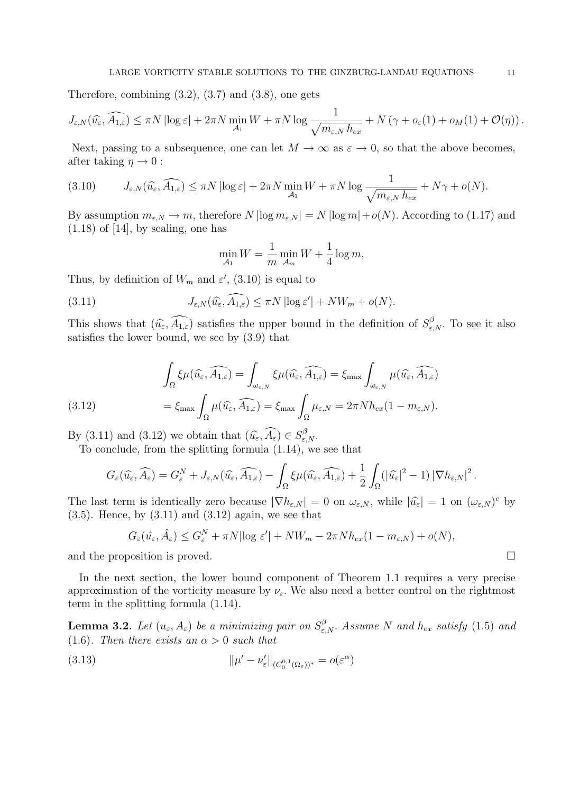Therefore, combining  $(3.2)$ ,  $(3.7)$  and  $(3.8)$ , one gets

$$
J_{\varepsilon,N}(\widehat{u_{\varepsilon}},\widehat{A_{1,\varepsilon}}) \leq \pi N \left| \log \varepsilon \right| + 2\pi N \min_{\mathcal{A}_1} W + \pi N \log \frac{1}{\sqrt{m_{\varepsilon,N} h_{\varepsilon x}}} + N \left( \gamma + o_{\varepsilon}(1) + o_M(1) + \mathcal{O}(\eta) \right).
$$

Next, passing to a subsequence, one can let  $M \to \infty$  as  $\varepsilon \to 0$ , so that the above becomes, after taking  $\eta \to 0$ :

(3.10) 
$$
J_{\varepsilon,N}(\widehat{u_{\varepsilon}}, \widehat{A_{1,\varepsilon}}) \leq \pi N |\log \varepsilon| + 2\pi N \min_{\mathcal{A}_1} W + \pi N \log \frac{1}{\sqrt{m_{\varepsilon,N} h_{\varepsilon x}}} + N\gamma + o(N).
$$

By assumption  $m_{\varepsilon,N} \to m$ , therefore  $N |\log m_{\varepsilon,N}| = N |\log m| + o(N)$ . According to (1.17) and  $(1.18)$  of [14], by scaling, one has

$$
\min_{\mathcal{A}_1} W = \frac{1}{m} \min_{\mathcal{A}_m} W + \frac{1}{4} \log m,
$$

Thus, by definition of  $W_m$  and  $\varepsilon'$ , (3.10) is equal to

(3.11) 
$$
J_{\varepsilon,N}(\widehat{u_{\varepsilon}}, \widehat{A_{1,\varepsilon}}) \leq \pi N |\log \varepsilon'| + NW_m + o(N).
$$

This shows that  $(\widehat{u}_{\varepsilon}, \widehat{A_{1,\varepsilon}})$  satisfies the upper bound in the definition of  $S_{\varepsilon,N}^{\beta}$ . To see it also satisfies the lower bound, we see by (3.9) that

$$
\int_{\Omega} \xi \mu(\widehat{u_{\varepsilon}}, \widehat{A_{1,\varepsilon}}) = \int_{\omega_{\varepsilon,N}} \xi \mu(\widehat{u_{\varepsilon}}, \widehat{A_{1,\varepsilon}}) = \xi_{\max} \int_{\omega_{\varepsilon,N}} \mu(\widehat{u_{\varepsilon}}, \widehat{A_{1,\varepsilon}})
$$
\n
$$
= \xi_{\max} \int_{\Omega} \mu(\widehat{u_{\varepsilon}}, \widehat{A_{1,\varepsilon}}) = \xi_{\max} \int_{\Omega} \mu_{\varepsilon,N} = 2\pi N h_{ex} (1 - m_{\varepsilon,N}).
$$

By (3.11) and (3.12) we obtain that  $(\widehat{u_{\varepsilon}}, \widehat{A_{\varepsilon}}) \in S_{\varepsilon,N}^{\beta}$ .<br>To conclude from the splitting formula (1.14), we

To conclude, from the splitting formula (1.14), we see that

$$
G_{\varepsilon}(\widehat{u_{\varepsilon}},\widehat{A_{\varepsilon}})=G_{\varepsilon}^{N}+J_{\varepsilon,N}(\widehat{u_{\varepsilon}},\widehat{A_{1,\varepsilon}})-\int_{\Omega}\xi\mu(\widehat{u_{\varepsilon}},\widehat{A_{1,\varepsilon}})+\frac{1}{2}\int_{\Omega}(|\widehat{u_{\varepsilon}}|^{2}-1)\left|\nabla h_{\varepsilon,N}\right|^{2}.
$$

The last term is identically zero because  $|\nabla h_{\varepsilon,N}| = 0$  on  $\omega_{\varepsilon,N}$ , while  $|\widehat{u}_{\varepsilon}| = 1$  on  $(\omega_{\varepsilon,N})^c$  by (3.5). Hence by (3.11) and (3.12) again, we see that  $(3.5)$ . Hence, by  $(3.11)$  and  $(3.12)$  again, we see that

$$
G_{\varepsilon}(\hat{u}_{\varepsilon}, \hat{A}_{\varepsilon}) \leq G_{\varepsilon}^N + \pi N |\log \varepsilon'| + NW_m - 2\pi N h_{ex} (1 - m_{\varepsilon,N}) + o(N),
$$

and the proposition is proved.

In the next section, the lower bound component of Theorem 1.1 requires a very precise approximation of the vorticity measure by  $\nu_{\varepsilon}$ . We also need a better control on the rightmost term in the splitting formula (1.14).

**Lemma 3.2.** Let  $(u_{\varepsilon}, A_{\varepsilon})$  be a minimizing pair on  $S_{\varepsilon,N}^{\beta}$ . Assume N and  $h_{ex}$  satisfy (1.5) and (1.6). Then there exists an  $\alpha > 0$  such that

(3.13) 
$$
\|\mu' - \nu_{\varepsilon}'\|_{(C_0^{0,1}(\Omega_{\varepsilon}))^*} = o(\varepsilon^{\alpha})
$$

$$
\Box
$$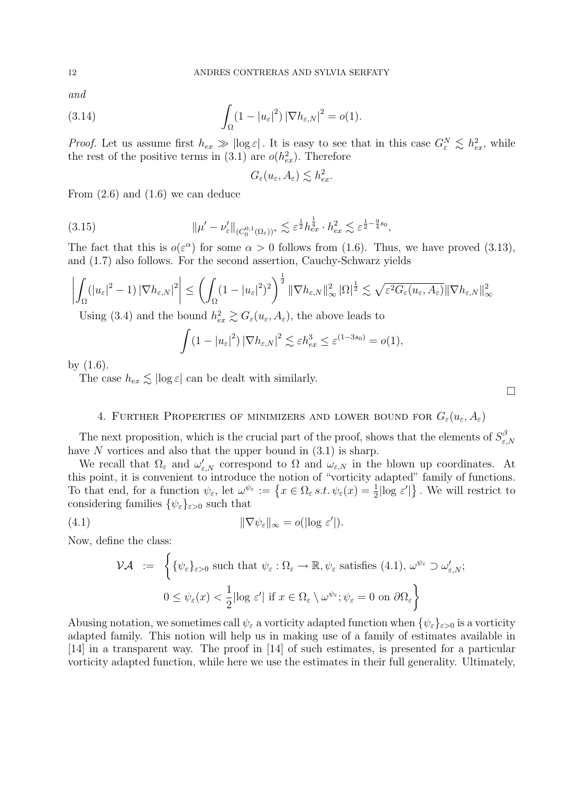and

(3.14) 
$$
\int_{\Omega} (1 - |u_{\varepsilon}|^2) |\nabla h_{\varepsilon,N}|^2 = o(1).
$$

*Proof.* Let us assume first  $h_{ex} \gg |\log \varepsilon|$ . It is easy to see that in this case  $G_{\varepsilon}^{N} \lesssim h_{ex}^{2}$ , while the rest of the positive terms in (3.1) are  $o(h_{ex}^2)$ . Therefore

$$
G_{\varepsilon}(u_{\varepsilon}, A_{\varepsilon}) \lesssim h_{ex}^{2}.
$$

From  $(2.6)$  and  $(1.6)$  we can deduce

$$
(3.15) \t\t\t ||\mu' - \nu'_{\varepsilon}||_{(C_0^{0,1}(\Omega_{\varepsilon}))^*} \lesssim \varepsilon^{\frac{1}{2}} h_{ex}^{\frac{1}{4}} \cdot h_{ex}^2 \lesssim \varepsilon^{\frac{1}{2} - \frac{9}{4}s_0},
$$

The fact that this is  $o(\varepsilon^{\alpha})$  for some  $\alpha > 0$  follows from (1.6). Thus, we have proved (3.13), and (1.7) also follows. For the second assertion, Cauchy-Schwarz yields

$$
\left| \int_{\Omega} (|u_{\varepsilon}|^{2} - 1) |\nabla h_{\varepsilon,N}|^{2} \right| \leq \left( \int_{\Omega} (1 - |u_{\varepsilon}|^{2})^{2} \right)^{\frac{1}{2}} \|\nabla h_{\varepsilon,N}\|_{\infty}^{2} |\Omega|^{\frac{1}{2}} \lesssim \sqrt{\varepsilon^{2} G_{\varepsilon}(u_{\varepsilon}, A_{\varepsilon})} \|\nabla h_{\varepsilon,N}\|_{\infty}^{2}
$$

Using (3.4) and the bound  $h_{ex}^2 \gtrsim G_{\varepsilon}(u_{\varepsilon}, A_{\varepsilon})$ , the above leads to

$$
\int (1-|u_{\varepsilon}|^2) |\nabla h_{\varepsilon,N}|^2 \lesssim \varepsilon h_{ex}^3 \leq \varepsilon^{(1-3s_0)} = o(1),
$$

by (1.6).

The case  $h_{ex} \lesssim |\log \varepsilon|$  can be dealt with similarly.

## 4. FURTHER PROPERTIES OF MINIMIZERS AND LOWER BOUND FOR  $G_{\varepsilon}(u_{\varepsilon}, A_{\varepsilon})$

 $\Box$ 

The next proposition, which is the crucial part of the proof, shows that the elements of  $S_{\varepsilon}^{\beta}$ ε,N have  $N$  vortices and also that the upper bound in  $(3.1)$  is sharp.

We recall that  $\Omega_{\varepsilon}$  and  $\omega'_{\varepsilon,N}$  correspond to  $\Omega$  and  $\omega_{\varepsilon,N}$  in the blown up coordinates. At this point, it is convenient to introduce the notion of "vorticity adapted" family of functions. To that end, for a function  $\psi_{\varepsilon}$ , let  $\omega^{\psi_{\varepsilon}} := \left\{ x \in \Omega_{\varepsilon} \, s.t. \, \psi_{\varepsilon}(x) = \frac{1}{2} |\log \varepsilon'| \right\}$ . We will restrict to considering families  $\{\psi_{\varepsilon}\}_{{\varepsilon}>0}$  such that

(4.1) 
$$
\|\nabla \psi_{\varepsilon}\|_{\infty} = o(|\log \varepsilon'|).
$$

Now, define the class:

$$
\mathcal{VA} \ := \ \left\{ \{ \psi_{\varepsilon} \}_{\varepsilon > 0} \text{ such that } \psi_{\varepsilon} : \Omega_{\varepsilon} \to \mathbb{R}, \psi_{\varepsilon} \text{ satisfies (4.1)}, \omega^{\psi_{\varepsilon}} \supset \omega'_{\varepsilon, N};
$$
  

$$
0 \le \psi_{\varepsilon}(x) < \frac{1}{2} |\log \varepsilon'| \text{ if } x \in \Omega_{\varepsilon} \setminus \omega^{\psi_{\varepsilon}}; \psi_{\varepsilon} = 0 \text{ on } \partial \Omega_{\varepsilon} \right\}
$$

Abusing notation, we sometimes call  $\psi_{\varepsilon}$  a vorticity adapted function when  $\{\psi_{\varepsilon}\}_{{\varepsilon}>0}$  is a vorticity adapted family. This notion will help us in making use of a family of estimates available in [14] in a transparent way. The proof in [14] of such estimates, is presented for a particular vorticity adapted function, while here we use the estimates in their full generality. Ultimately,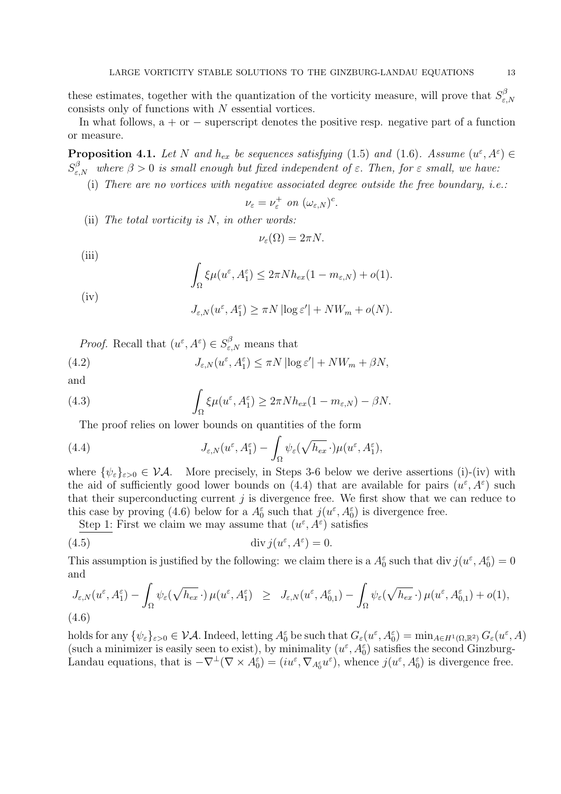these estimates, together with the quantization of the vorticity measure, will prove that  $S_{\varepsilon}^{\beta}$ ε,N consists only of functions with N essential vortices.

In what follows,  $a + or -$  superscript denotes the positive resp. negative part of a function or measure.

**Proposition 4.1.** Let N and  $h_{ex}$  be sequences satisfying (1.5) and (1.6). Assume  $(u^{\varepsilon}, A^{\varepsilon}) \in$  $S_{\varepsilon,N}^{\beta}$  where  $\beta > 0$  is small enough but fixed independent of  $\varepsilon$ . Then, for  $\varepsilon$  small, we have:

(i) There are no vortices with negative associated degree outside the free boundary, *i.e.*:

$$
\nu_{\varepsilon} = \nu_{\varepsilon}^+ \text{ on } (\omega_{\varepsilon,N})^c.
$$

(ii) The total vorticity is N, in other words:

$$
\nu_{\varepsilon}(\Omega) = 2\pi N.
$$

 $(iii)$ 

$$
\int_{\Omega} \xi \mu(u^{\varepsilon}, A_1^{\varepsilon}) \leq 2\pi N h_{ex}(1 - m_{\varepsilon, N}) + o(1).
$$
 (iv)

$$
J_{\varepsilon,N}(u^{\varepsilon}, A_1^{\varepsilon}) \geq \pi N |\log \varepsilon'| + NW_m + o(N).
$$

*Proof.* Recall that  $(u^{\varepsilon}, A^{\varepsilon}) \in S^{\beta}_{\varepsilon, N}$  means that

(4.2) 
$$
J_{\varepsilon,N}(u^{\varepsilon}, A_1^{\varepsilon}) \leq \pi N |\log \varepsilon'| + NW_m + \beta N,
$$

and

(4.3) 
$$
\int_{\Omega} \xi \mu(u^{\varepsilon}, A_1^{\varepsilon}) \geq 2\pi N h_{ex} (1 - m_{\varepsilon, N}) - \beta N.
$$

The proof relies on lower bounds on quantities of the form

(4.4) 
$$
J_{\varepsilon,N}(u^{\varepsilon},A_1^{\varepsilon}) - \int_{\Omega} \psi_{\varepsilon}(\sqrt{h_{ex}} \cdot) \mu(u^{\varepsilon},A_1^{\varepsilon}),
$$

where  $\{\psi_{\varepsilon}\}_{{\varepsilon}>0} \in \mathcal{VA}$ . More precisely, in Steps 3-6 below we derive assertions (i)-(iv) with the aid of sufficiently good lower bounds on (4.4) that are available for pairs  $(u^{\varepsilon}, A^{\varepsilon})$  such that their superconducting current  $j$  is divergence free. We first show that we can reduce to this case by proving (4.6) below for a  $A_0^{\varepsilon}$  such that  $j(u^{\varepsilon}, A_0^{\varepsilon})$  is divergence free.

Step 1: First we claim we may assume that  $(u^{\varepsilon}, A^{\varepsilon})$  satisfies

(4.5) 
$$
\operatorname{div} j(u^{\varepsilon}, A^{\varepsilon}) = 0.
$$

This assumption is justified by the following: we claim there is a  $A_0^{\varepsilon}$  such that div  $j(u^{\varepsilon}, A_0^{\varepsilon}) = 0$ and

$$
J_{\varepsilon,N}(u^{\varepsilon}, A_1^{\varepsilon}) - \int_{\Omega} \psi_{\varepsilon}(\sqrt{h_{ex}} \cdot) \mu(u^{\varepsilon}, A_1^{\varepsilon}) \geq J_{\varepsilon,N}(u^{\varepsilon}, A_{0,1}^{\varepsilon}) - \int_{\Omega} \psi_{\varepsilon}(\sqrt{h_{ex}} \cdot) \mu(u^{\varepsilon}, A_{0,1}^{\varepsilon}) + o(1),
$$
\n(4.6)

holds for any  $\{\psi_{\varepsilon}\}_{{\varepsilon}>0} \in \mathcal{VA}$ . Indeed, letting  $A_0^{\varepsilon}$  be such that  $G_{\varepsilon}(u^{\varepsilon}, A_0^{\varepsilon}) = \min_{A \in H^1(\Omega, \mathbb{R}^2)} G_{\varepsilon}(u^{\varepsilon}, A)$ (such a minimizer is easily seen to exist), by minimality  $(u^{\varepsilon}, A_0^{\varepsilon})$  satisfies the second Ginzburg-Landau equations, that is  $-\nabla^{\perp}(\nabla \times A_0^{\varepsilon}) = (iu^{\varepsilon}, \nabla_{A_0^{\varepsilon}}u^{\varepsilon})$ , whence  $j(u^{\varepsilon}, A_0^{\varepsilon})$  is divergence free.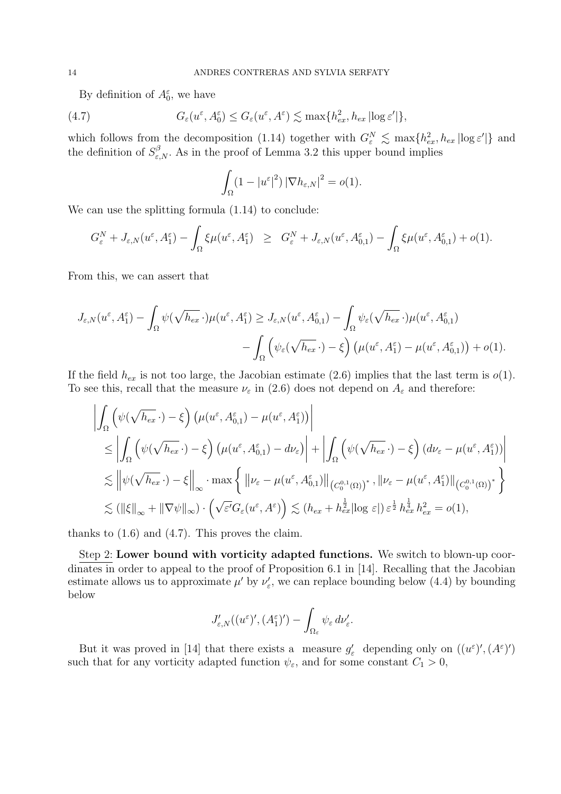By definition of  $A_0^{\varepsilon}$ , we have

(4.7) 
$$
G_{\varepsilon}(u^{\varepsilon}, A_0^{\varepsilon}) \leq G_{\varepsilon}(u^{\varepsilon}, A^{\varepsilon}) \lesssim \max\{h_{ex}^2, h_{ex} |\log \varepsilon'|\},
$$

which follows from the decomposition (1.14) together with  $G_{\varepsilon}^{N} \lesssim \max\{h_{ex}^{2}, h_{ex} \vert \log \varepsilon' \vert\}$  and the definition of  $S_{\varepsilon,N}^{\beta}$ . As in the proof of Lemma 3.2 this upper bound implies

$$
\int_{\Omega} (1 - |u^{\varepsilon}|^2) |\nabla h_{\varepsilon,N}|^2 = o(1).
$$

We can use the splitting formula (1.14) to conclude:

$$
G_{\varepsilon}^N + J_{\varepsilon,N}(u^{\varepsilon}, A_1^{\varepsilon}) - \int_{\Omega} \xi \mu(u^{\varepsilon}, A_1^{\varepsilon}) \geq G_{\varepsilon}^N + J_{\varepsilon,N}(u^{\varepsilon}, A_{0,1}^{\varepsilon}) - \int_{\Omega} \xi \mu(u^{\varepsilon}, A_{0,1}^{\varepsilon}) + o(1).
$$

From this, we can assert that

$$
J_{\varepsilon,N}(u^{\varepsilon}, A_1^{\varepsilon}) - \int_{\Omega} \psi(\sqrt{h_{ex}} \cdot) \mu(u^{\varepsilon}, A_1^{\varepsilon}) \ge J_{\varepsilon,N}(u^{\varepsilon}, A_{0,1}^{\varepsilon}) - \int_{\Omega} \psi_{\varepsilon}(\sqrt{h_{ex}} \cdot) \mu(u^{\varepsilon}, A_{0,1}^{\varepsilon})
$$

$$
- \int_{\Omega} \left( \psi_{\varepsilon}(\sqrt{h_{ex}} \cdot) - \xi \right) \left( \mu(u^{\varepsilon}, A_1^{\varepsilon}) - \mu(u^{\varepsilon}, A_{0,1}^{\varepsilon}) \right) + o(1).
$$

If the field  $h_{ex}$  is not too large, the Jacobian estimate (2.6) implies that the last term is  $o(1)$ . To see this, recall that the measure  $\nu_{\varepsilon}$  in (2.6) does not depend on  $A_{\varepsilon}$  and therefore:

$$
\left| \int_{\Omega} \left( \psi(\sqrt{h_{ex}} \cdot) - \xi \right) \left( \mu(u^{\varepsilon}, A^{\varepsilon}_{0,1}) - \mu(u^{\varepsilon}, A^{\varepsilon}_{1}) \right) \right|
$$
\n
$$
\leq \left| \int_{\Omega} \left( \psi(\sqrt{h_{ex}} \cdot) - \xi \right) \left( \mu(u^{\varepsilon}, A^{\varepsilon}_{0,1}) - d\nu_{\varepsilon} \right) \right| + \left| \int_{\Omega} \left( \psi(\sqrt{h_{ex}} \cdot) - \xi \right) \left( d\nu_{\varepsilon} - \mu(u^{\varepsilon}, A^{\varepsilon}_{1}) \right) \right|
$$
\n
$$
\lesssim \left\| \psi(\sqrt{h_{ex}} \cdot) - \xi \right\|_{\infty} \cdot \max \left\{ \left\| \nu_{\varepsilon} - \mu(u^{\varepsilon}, A^{\varepsilon}_{0,1}) \right\|_{\left( C^{0,1}_{0}(\Omega) \right)^{*}}, \left\| \nu_{\varepsilon} - \mu(u^{\varepsilon}, A^{\varepsilon}_{1}) \right\|_{\left( C^{0,1}_{0}(\Omega) \right)^{*}} \right\}
$$
\n
$$
\lesssim (\|\xi\|_{\infty} + \|\nabla \psi\|_{\infty}) \cdot \left( \sqrt{\varepsilon'} G_{\varepsilon}(u^{\varepsilon}, A^{\varepsilon}) \right) \lesssim (h_{ex} + h_{ex}^{\frac{1}{2}} |\log \varepsilon|) \varepsilon^{\frac{1}{2}} h_{ex}^{\frac{1}{4}} h_{ex}^{2} = o(1),
$$

thanks to (1.6) and (4.7). This proves the claim.

Step 2: Lower bound with vorticity adapted functions. We switch to blown-up coordinates in order to appeal to the proof of Proposition 6.1 in [14]. Recalling that the Jacobian estimate allows us to approximate  $\mu'$  by  $\nu'_{\varepsilon}$ , we can replace bounding below (4.4) by bounding below

$$
J'_{\varepsilon,N}((u^{\varepsilon})', (A_1^{\varepsilon})') - \int_{\Omega_{\varepsilon}} \psi_{\varepsilon} d\nu'_{\varepsilon}.
$$

But it was proved in [14] that there exists a measure  $g'_{\varepsilon}$  depending only on  $((u^{\varepsilon})', (A^{\varepsilon})')$ such that for any vorticity adapted function  $\psi_{\varepsilon}$ , and for some constant  $C_1 > 0$ ,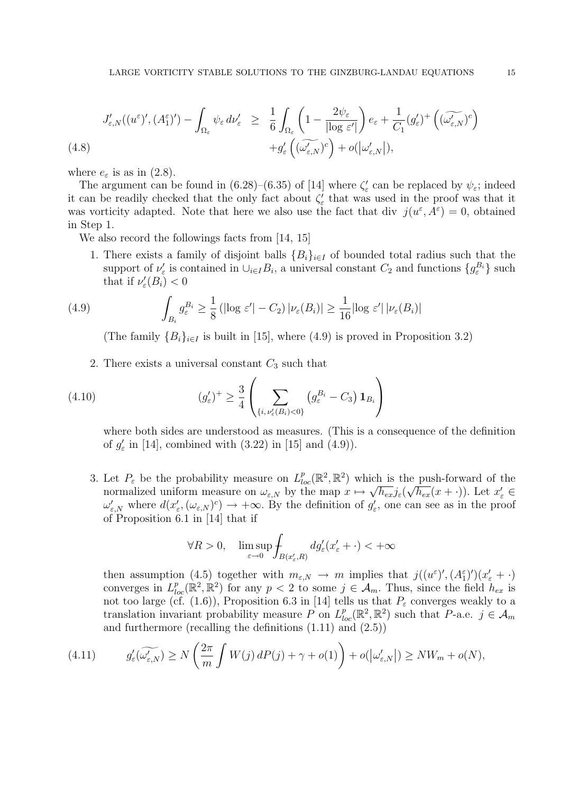$$
J'_{\varepsilon,N}((u^{\varepsilon})', (A_1^{\varepsilon})') - \int_{\Omega_{\varepsilon}} \psi_{\varepsilon} d\nu'_{\varepsilon} \geq \frac{1}{6} \int_{\Omega_{\varepsilon}} \left(1 - \frac{2\psi_{\varepsilon}}{|\log \varepsilon'|}\right) e_{\varepsilon} + \frac{1}{C_1} (g'_{\varepsilon})^+ \left( (\widetilde{\omega'_{\varepsilon,N}})^c \right) + g'_{\varepsilon} \left( (\widetilde{\omega'_{\varepsilon,N}})^c \right) + o(|\omega'_{\varepsilon,N}|),
$$

where  $e_{\varepsilon}$  is as in (2.8).

The argument can be found in (6.28)–(6.35) of [14] where  $\zeta'_{\varepsilon}$  can be replaced by  $\psi_{\varepsilon}$ ; indeed it can be readily checked that the only fact about  $\zeta'_{\varepsilon}$  that was used in the proof was that it was vorticity adapted. Note that here we also use the fact that div  $j(u^{\varepsilon}, A^{\varepsilon}) = 0$ , obtained in Step 1.

We also record the followings facts from [14, 15]

1. There exists a family of disjoint balls  ${B_i}_{i\in I}$  of bounded total radius such that the support of  $\nu'_{\varepsilon}$  is contained in  $\cup_{i\in I}B_i$ , a universal constant  $C_2$  and functions  $\{g^{B_i}_{\varepsilon}\}$  such that if  $\nu'_{\varepsilon}(B_i) < 0$ 

(4.9) 
$$
\int_{B_i} g_{\varepsilon}^{B_i} \geq \frac{1}{8} \left( |\log \varepsilon'| - C_2 \right) |\nu_{\varepsilon}(B_i)| \geq \frac{1}{16} |\log \varepsilon'| |\nu_{\varepsilon}(B_i)|
$$

(The family  ${B_i}_{i\in I}$  is built in [15], where (4.9) is proved in Proposition 3.2)

2. There exists a universal constant  $C_3$  such that

(4.10) 
$$
(g'_{\varepsilon})^{+} \geq \frac{3}{4} \left( \sum_{\{i, \nu'_{\varepsilon}(B_{i}) < 0\}} \left( g_{\varepsilon}^{B_{i}} - C_{3} \right) \mathbf{1}_{B_{i}} \right)
$$

where both sides are understood as measures. (This is a consequence of the definition of  $g'_{\varepsilon}$  in [14], combined with (3.22) in [15] and (4.9)).

3. Let  $P_{\varepsilon}$  be the probability measure on  $L_{loc}^p(\mathbb{R}^2, \mathbb{R}^2)$  which is the push-forward of the normalized uniform measure on  $\omega_{\varepsilon,N}$  by the map  $x \mapsto \sqrt{h_{ex}}j_{\varepsilon}(\sqrt{h_{ex}}(x+\cdot))$ . Let  $x'_{\varepsilon} \in$  $\omega'_{\varepsilon,N}$  where  $d(x'_{\varepsilon},(\omega_{\varepsilon,N})^c) \to +\infty$ . By the definition of  $g'_{\varepsilon}$ , one can see as in the proof of Proposition 6.1 in [14] that if

$$
\forall R > 0, \quad \limsup_{\varepsilon \to 0} \int_{B(x'_{\varepsilon}, R)} dg'_{\varepsilon}(x'_{\varepsilon} + \cdot) < +\infty
$$

then assumption (4.5) together with  $m_{\varepsilon,N} \to m$  implies that  $j((u^{\varepsilon})', (A_1^{\varepsilon})')(x_{\varepsilon}'+\cdot)$ converges in  $L_{loc}^p(\mathbb{R}^2, \mathbb{R}^2)$  for any  $p < 2$  to some  $j \in \mathcal{A}_m$ . Thus, since the field  $h_{ex}$  is not too large (cf.  $(1.6)$ ), Proposition 6.3 in [14] tells us that  $P_{\varepsilon}$  converges weakly to a translation invariant probability measure P on  $L_{loc}^p(\mathbb{R}^2, \mathbb{R}^2)$  such that P-a.e.  $j \in \mathcal{A}_m$ and furthermore (recalling the definitions (1.11) and (2.5))

(4.11) 
$$
g'_{\varepsilon}(\widetilde{\omega'_{\varepsilon,N}}) \ge N\left(\frac{2\pi}{m}\int W(j)\,dP(j) + \gamma + o(1)\right) + o(|\omega'_{\varepsilon,N}|) \ge NW_m + o(N),
$$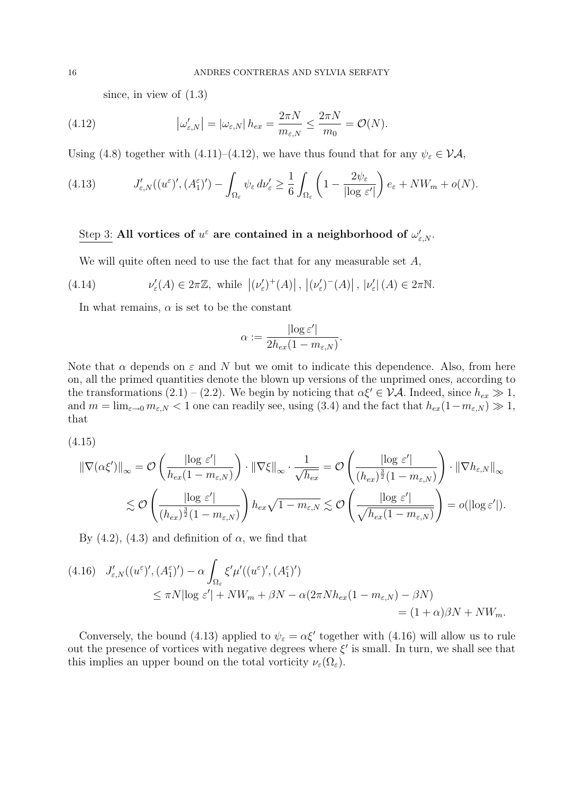since, in view of (1.3)

(4.12) 
$$
\left| \omega_{\varepsilon,N}' \right| = \left| \omega_{\varepsilon,N} \right| h_{ex} = \frac{2\pi N}{m_{\varepsilon,N}} \le \frac{2\pi N}{m_0} = \mathcal{O}(N).
$$

Using (4.8) together with (4.11)–(4.12), we have thus found that for any  $\psi_{\varepsilon} \in \mathcal{VA}$ ,

(4.13) 
$$
J'_{\varepsilon,N}((u^{\varepsilon})', (A_1^{\varepsilon})') - \int_{\Omega_{\varepsilon}} \psi_{\varepsilon} d\nu'_{\varepsilon} \geq \frac{1}{6} \int_{\Omega_{\varepsilon}} \left(1 - \frac{2\psi_{\varepsilon}}{|\log \varepsilon'|}\right) e_{\varepsilon} + NW_m + o(N).
$$

# Step 3: All vortices of  $u^{\varepsilon}$  are contained in a neighborhood of  $\omega_{\varepsilon,N}^{\prime}$ .

We will quite often need to use the fact that for any measurable set  $A$ ,

(4.14) 
$$
\nu'_{\varepsilon}(A) \in 2\pi\mathbb{Z}, \text{ while } |(\nu'_{\varepsilon})^+(A)|, |(\nu'_{\varepsilon})^-(A)|, |\nu'_{\varepsilon}|(A) \in 2\pi\mathbb{N}.
$$

In what remains,  $\alpha$  is set to be the constant

$$
\alpha := \frac{|\log \varepsilon'|}{2h_{ex}(1 - m_{\varepsilon,N})}.
$$

Note that  $\alpha$  depends on  $\varepsilon$  and N but we omit to indicate this dependence. Also, from here on, all the primed quantities denote the blown up versions of the unprimed ones, according to the transformations (2.1) – (2.2). We begin by noticing that  $\alpha \xi' \in \mathcal{VA}$ . Indeed, since  $h_{ex} \gg 1$ , and  $m = \lim_{\varepsilon \to 0} m_{\varepsilon,N} < 1$  one can readily see, using (3.4) and the fact that  $h_{ex}(1-m_{\varepsilon,N}) \gg 1$ , that

(4.15)

$$
\begin{split} \left\| \nabla (\alpha \xi') \right\|_{\infty} &= \mathcal{O} \left( \frac{\left| \log \, \varepsilon' \right|}{h_{ex}(1-m_{\varepsilon,N})} \right) \cdot \left\| \nabla \xi \right\|_{\infty} \cdot \frac{1}{\sqrt{h_{ex}}} = \mathcal{O} \left( \frac{\left| \log \, \varepsilon' \right|}{\left( h_{ex} \right)^{\frac{3}{2}} (1-m_{\varepsilon,N})} \right) \cdot \left\| \nabla h_{\varepsilon,N} \right\|_{\infty} \\ &\lesssim \mathcal{O} \left( \frac{\left| \log \, \varepsilon' \right|}{\left( h_{ex} \right)^{\frac{3}{2}} (1-m_{\varepsilon,N})} \right) h_{ex} \sqrt{1-m_{\varepsilon,N}} \lesssim \mathcal{O} \left( \frac{\left| \log \, \varepsilon' \right|}{\sqrt{h_{ex}(1-m_{\varepsilon,N})}} \right) = o(\left| \log \varepsilon' \right|). \end{split}
$$

By  $(4.2)$ ,  $(4.3)$  and definition of  $\alpha$ , we find that

$$
(4.16) \quad J'_{\varepsilon,N}((u^{\varepsilon})', (A_1^{\varepsilon})') - \alpha \int_{\Omega_{\varepsilon}} \xi' \mu'((u^{\varepsilon})', (A_1^{\varepsilon})')
$$
  

$$
\leq \pi N |\log \varepsilon'| + N W_m + \beta N - \alpha (2\pi N h_{ex} (1 - m_{\varepsilon,N}) - \beta N)
$$
  

$$
= (1 + \alpha)\beta N + N W_m.
$$

Conversely, the bound (4.13) applied to  $\psi_{\varepsilon} = \alpha \xi'$  together with (4.16) will allow us to rule out the presence of vortices with negative degrees where  $\xi'$  is small. In turn, we shall see that this implies an upper bound on the total vorticity  $\nu_{\varepsilon}(\Omega_{\varepsilon}).$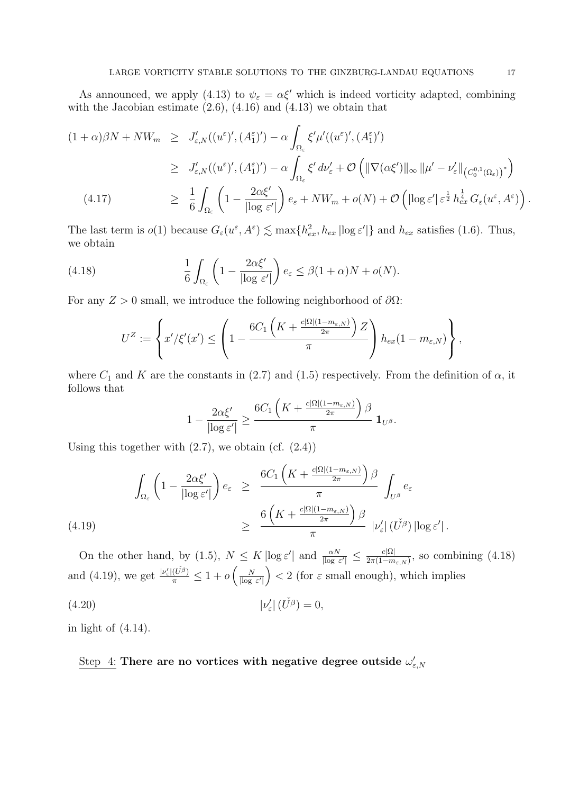As announced, we apply (4.13) to  $\psi_{\varepsilon} = \alpha \xi'$  which is indeed vorticity adapted, combining with the Jacobian estimate  $(2.6)$ ,  $(4.16)$  and  $(4.13)$  we obtain that

$$
(1+\alpha)\beta N + NW_m \geq J'_{\varepsilon,N}((u^{\varepsilon})', (A_1^{\varepsilon})') - \alpha \int_{\Omega_{\varepsilon}} \xi' \mu'((u^{\varepsilon})', (A_1^{\varepsilon})')
$$
  
\n
$$
\geq J'_{\varepsilon,N}((u^{\varepsilon})', (A_1^{\varepsilon})') - \alpha \int_{\Omega_{\varepsilon}} \xi' d\nu'_{\varepsilon} + \mathcal{O}\left(\|\nabla(\alpha \xi')\|_{\infty} \|\mu' - \nu'_{\varepsilon}\|_{(C_0^{0,1}(\Omega_{\varepsilon}))^*}\right)
$$
  
\n
$$
(4.17) \geq \frac{1}{6} \int_{\Omega_{\varepsilon}} \left(1 - \frac{2\alpha \xi'}{|\log \varepsilon'|}\right) e_{\varepsilon} + NW_m + o(N) + \mathcal{O}\left(|\log \varepsilon'| \varepsilon^{\frac{1}{2}} h_{\varepsilon x}^{\frac{1}{4}} G_{\varepsilon}(u^{\varepsilon}, A^{\varepsilon})\right).
$$

The last term is  $o(1)$  because  $G_{\varepsilon}(u^{\varepsilon}, A^{\varepsilon}) \lesssim \max\{h_{ex}^2, h_{ex} | \log \varepsilon' | \}$  and  $h_{ex}$  satisfies (1.6). Thus, we obtain

(4.18) 
$$
\frac{1}{6} \int_{\Omega_{\varepsilon}} \left(1 - \frac{2\alpha \xi'}{|\log \varepsilon'|}\right) e_{\varepsilon} \leq \beta (1 + \alpha) N + o(N).
$$

For any  $Z > 0$  small, we introduce the following neighborhood of  $\partial\Omega$ :

$$
U^{Z} := \left\{ x'/\xi'(x') \le \left(1 - \frac{6C_1\left(K + \frac{c|\Omega|(1-m_{\varepsilon,N})}{2\pi}\right)Z}{\pi}\right) h_{ex}(1-m_{\varepsilon,N})\right\},\,
$$

where  $C_1$  and K are the constants in (2.7) and (1.5) respectively. From the definition of  $\alpha$ , it follows that

$$
1 - \frac{2\alpha\xi'}{|\log \varepsilon'|} \ge \frac{6C_1\left(K + \frac{c|\Omega|(1-m_{\varepsilon,N})}{2\pi}\right)\beta}{\pi} \mathbf{1}_{U^{\beta}}.
$$

Using this together with  $(2.7)$ , we obtain  $(cf. (2.4))$ 

$$
\int_{\Omega_{\varepsilon}} \left(1 - \frac{2\alpha \xi'}{|\log \varepsilon'|}\right) e_{\varepsilon} \geq \frac{6C_1 \left(K + \frac{c|\Omega|(1 - m_{\varepsilon,N})}{2\pi}\right) \beta}{\pi} \int_{U^{\beta}} e_{\varepsilon}
$$
\n
$$
\geq \frac{6\left(K + \frac{c|\Omega|(1 - m_{\varepsilon,N})}{2\pi}\right) \beta}{\pi} |\nu_{\varepsilon}'| (\check{U}^{\beta}) |\log \varepsilon'|.
$$
\n(4.19)

On the other hand, by (1.5),  $N \leq K |\log \varepsilon'|$  and  $\frac{\alpha N}{|\log \varepsilon'|} \leq \frac{c |\Omega|}{2\pi (1-m)}$  $\frac{c|\Omega|}{2\pi(1-m_{\varepsilon,N})}$ , so combining  $(4.18)$ and (4.19), we get  $\frac{|\nu_{\varepsilon}'|(\check{U}^{\beta})}{\pi} \leq 1 + o\left(\frac{N}{|\log N|}\right)$  $\left(\frac{N}{\log \varepsilon'}\right)$  < 2 (for  $\varepsilon$  small enough), which implies

$$
|\nu'_{\varepsilon}| \left( \check{U^{\beta}} \right) = 0,
$$

in light of (4.14).

# Step 4: There are no vortices with negative degree outside  $\omega'_{\varepsilon,N}$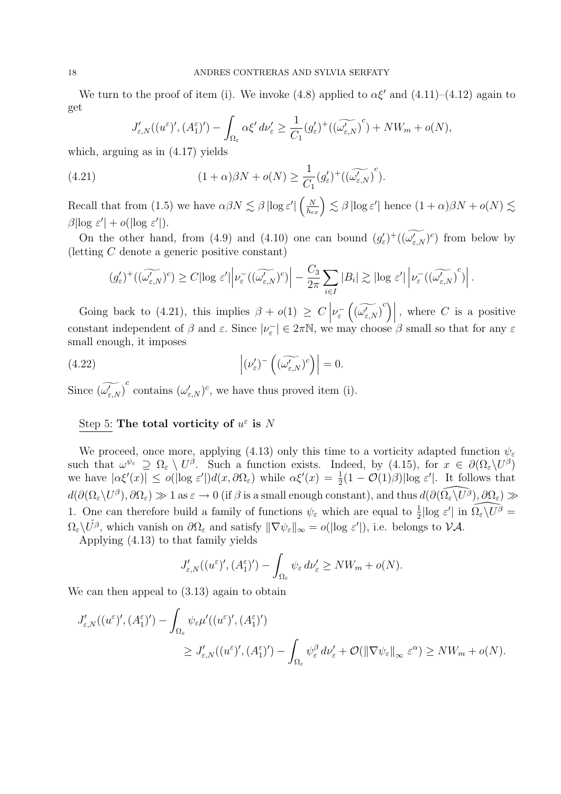We turn to the proof of item (i). We invoke (4.8) applied to  $\alpha \xi'$  and (4.11)–(4.12) again to get

$$
J'_{\varepsilon,N}((u^{\varepsilon})', (A_1^{\varepsilon})') - \int_{\Omega_{\varepsilon}} \alpha \xi' d\nu'_{\varepsilon} \geq \frac{1}{C_1} (g'_{\varepsilon})^+ ((\widetilde{\omega'_{\varepsilon,N}})^c) + NW_m + o(N),
$$

which, arguing as in (4.17) yields

(4.21) 
$$
(1+\alpha)\beta N + o(N) \geq \frac{1}{C_1} (g'_{\varepsilon})^+ ((\widetilde{\omega'_{\varepsilon,N}})^c).
$$

Recall that from (1.5) we have  $\alpha\beta N \lesssim \beta \left|\log \varepsilon'\right| \left(\frac{N}{h_{ex}}\right) \lesssim \beta \left|\log \varepsilon'\right|$  hence  $(1+\alpha)\beta N + o(N) \lesssim$  $\beta |\log \varepsilon'| + o(|\log \varepsilon'|).$ 

On the other hand, from (4.9) and (4.10) one can bound  $(g'_{\varepsilon})^+((\omega'_{\varepsilon,N})^c)$  from below by (letting C denote a generic positive constant)

$$
(g'_{\varepsilon})^+((\widetilde{\omega'_{\varepsilon,N}})^c) \ge C |\log \varepsilon'| \Big|\nu_{\varepsilon}^-((\widetilde{\omega'_{\varepsilon,N}})^c)\Big| - \frac{C_3}{2\pi} \sum_{i \in I} |B_i| \gtrsim |\log \varepsilon'| \Big|\nu_{\varepsilon}^-((\widetilde{\omega'_{\varepsilon,N}})^c)\Big|.
$$

Going back to (4.21), this implies  $\beta + o(1) \ge C$  $\nu_{\varepsilon} \left( (\widetilde{\omega_{\varepsilon,N}})^{c} \right) \Big|$ , where C is a positive constant independent of  $\beta$  and  $\varepsilon$ . Since  $|\nu_{\varepsilon}| \in 2\pi\mathbb{N}$ , we may choose  $\beta$  small so that for any  $\varepsilon$ small enough, it imposes

(4.22) 
$$
\left| (\nu_{\varepsilon}')^{-} \left( (\widetilde{\omega_{\varepsilon,N}})^c \right) \right| = 0.
$$

Since  $(\widetilde{\omega'_{\varepsilon,N}})^c$  contains  $(\omega'_{\varepsilon,N})^c$ , we have thus proved item (i).

## Step 5: The total vorticity of  $u^{\varepsilon}$  is N

We proceed, once more, applying (4.13) only this time to a vorticity adapted function  $\psi_{\varepsilon}$ such that  $\omega^{\psi_{\varepsilon}} \supseteq \Omega_{\varepsilon} \setminus U^{\beta}$ . Such a function exists. Indeed, by (4.15), for  $x \in \partial(\Omega_{\varepsilon} \setminus U^{\beta})$ we have  $|\alpha \xi'(x)| \le o(|\log \varepsilon'|) d(x, \partial \Omega_{\varepsilon})$  while  $\alpha \xi'(x) = \frac{1}{2}(1 - \mathcal{O}(1)\beta)|\log \varepsilon'|$ . It follows that  $d(\partial(\Omega_{\varepsilon}\setminus U^{\beta}),\partial\Omega_{\varepsilon})\gg 1$  as  $\varepsilon\to 0$  (if  $\beta$  is a small enough constant), and thus  $d(\partial(\widehat{\Omega_{\varepsilon}\setminus U^{\beta}}),\partial\Omega_{\varepsilon})\gg 1$ 1. One can therefore build a family of functions  $\psi_{\varepsilon}$  which are equal to  $\frac{1}{2}$ log  $\varepsilon'$  in  $\widehat{\Omega_{\varepsilon}\setminus U^{\beta}}$  $\Omega_{\varepsilon} \setminus U^{\varepsilon}$ , which vanish on  $\partial \Omega_{\varepsilon}$  and satisfy  $\|\nabla \psi_{\varepsilon}\|_{\infty} = o(\log \varepsilon')$ , i.e. belongs to  $\mathcal{VA}$ .

Applying (4.13) to that family yields

$$
J'_{\varepsilon,N}((u^{\varepsilon})', (A_1^{\varepsilon})') - \int_{\Omega_{\varepsilon}} \psi_{\varepsilon} d\nu'_{\varepsilon} \geq NW_m + o(N).
$$

We can then appeal to  $(3.13)$  again to obtain

$$
J'_{\varepsilon,N}((u^{\varepsilon})', (A_1^{\varepsilon})') - \int_{\Omega_{\varepsilon}} \psi_{\varepsilon} \mu'((u^{\varepsilon})', (A_1^{\varepsilon})')
$$
  

$$
\geq J'_{\varepsilon,N}((u^{\varepsilon})', (A_1^{\varepsilon})') - \int_{\Omega_{\varepsilon}} \psi_{\varepsilon}^{\beta} d\nu'_{\varepsilon} + \mathcal{O}(\|\nabla \psi_{\varepsilon}\|_{\infty} \varepsilon^{\alpha}) \geq N W_m + o(N).
$$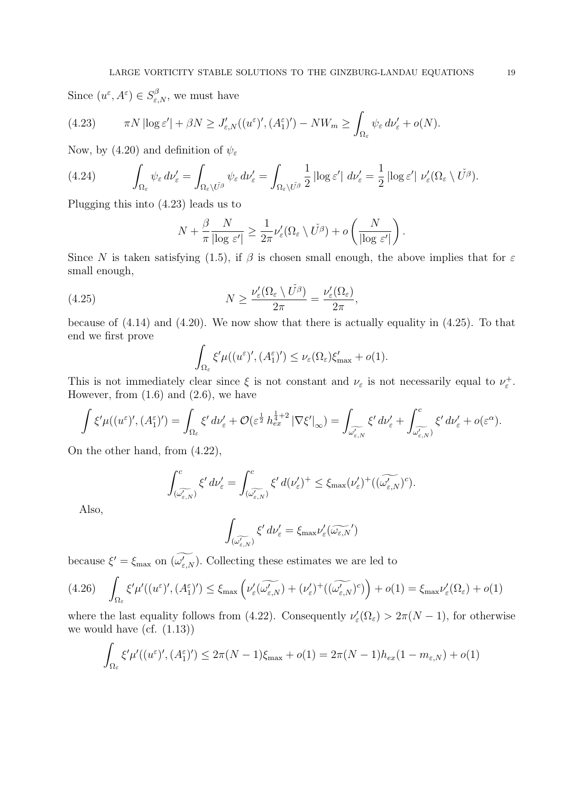Since  $(u^{\varepsilon}, A^{\varepsilon}) \in S^{\beta}_{\varepsilon,N}$ , we must have

(4.23) 
$$
\pi N \left| \log \varepsilon' \right| + \beta N \geq J'_{\varepsilon, N}((u^{\varepsilon})', (A_1^{\varepsilon})') - NW_m \geq \int_{\Omega_{\varepsilon}} \psi_{\varepsilon} d\nu'_{\varepsilon} + o(N).
$$

Now, by (4.20) and definition of  $\psi_{\varepsilon}$ 

(4.24) 
$$
\int_{\Omega_{\varepsilon}} \psi_{\varepsilon} d\nu_{\varepsilon}' = \int_{\Omega_{\varepsilon} \setminus \check{U^{\beta}}} \psi_{\varepsilon} d\nu_{\varepsilon}' = \int_{\Omega_{\varepsilon} \setminus \check{U^{\beta}}} \frac{1}{2} |\log \varepsilon'| d\nu_{\varepsilon}' = \frac{1}{2} |\log \varepsilon'| \nu_{\varepsilon}'(\Omega_{\varepsilon} \setminus \check{U^{\beta}}).
$$

Plugging this into (4.23) leads us to

$$
N + \frac{\beta}{\pi} \frac{N}{|\log \varepsilon'|} \ge \frac{1}{2\pi} \nu_{\varepsilon}'(\Omega_{\varepsilon} \setminus U^{\check{\beta}}) + o\left(\frac{N}{|\log \varepsilon'|}\right).
$$

Since N is taken satisfying (1.5), if  $\beta$  is chosen small enough, the above implies that for  $\varepsilon$ small enough,

(4.25) 
$$
N \ge \frac{\nu_{\varepsilon}'(\Omega_{\varepsilon} \setminus U^{\beta})}{2\pi} = \frac{\nu_{\varepsilon}'(\Omega_{\varepsilon})}{2\pi},
$$

because of (4.14) and (4.20). We now show that there is actually equality in (4.25). To that end we first prove

$$
\int_{\Omega_{\varepsilon}} \xi' \mu((u^{\varepsilon})', (A_1^{\varepsilon})') \leq \nu_{\varepsilon}(\Omega_{\varepsilon}) \xi'_{\max} + o(1).
$$

This is not immediately clear since  $\xi$  is not constant and  $\nu_{\varepsilon}$  is not necessarily equal to  $\nu_{\varepsilon}^+$ . However, from  $(1.6)$  and  $(2.6)$ , we have

$$
\int \xi' \mu((u^{\varepsilon})', (A_1^{\varepsilon})') = \int_{\Omega_{\varepsilon}} \xi' d\nu_{\varepsilon}' + \mathcal{O}(\varepsilon^{\frac{1}{2}} h_{ex}^{\frac{1}{4}+2} |\nabla \xi'|_{\infty}) = \int_{\widetilde{\omega'_{\varepsilon,N}}} \xi' d\nu_{\varepsilon}' + \int_{\widetilde{\omega'_{\varepsilon,N}}} \xi' d\nu_{\varepsilon}' + o(\varepsilon^{\alpha}).
$$

On the other hand, from (4.22),

$$
\int_{(\widetilde{\omega'_{\varepsilon,N}})}^c \xi' d\nu'_{\varepsilon} = \int_{(\widetilde{\omega'_{\varepsilon,N}})}^c \xi' d(\nu'_{\varepsilon})^+ \leq \xi_{\max}(\nu'_{\varepsilon})^+((\widetilde{\omega'_{\varepsilon,N}})^c).
$$

Also,

$$
\int_{(\widetilde{\omega'_{\varepsilon,N}})} \xi' \, d\nu'_{\varepsilon} = \xi_{\max} \nu'_{\varepsilon}(\widetilde{\omega_{\varepsilon,N}}')
$$

because  $\xi' = \xi_{\text{max}}$  on  $(\omega'_{\varepsilon,N})$ . Collecting these estimates we are led to

$$
(4.26)\quad \int_{\Omega_{\varepsilon}} \xi' \mu'((u^{\varepsilon})', (\hat{A}_1^{\varepsilon})') \leq \xi_{\max} \left( \nu_{\varepsilon}'(\widetilde{\omega_{\varepsilon,N}'}) + (\nu_{\varepsilon}')^+(\widetilde{(\omega_{\varepsilon,N}'})^c) \right) + o(1) = \xi_{\max} \nu_{\varepsilon}'(\Omega_{\varepsilon}) + o(1)
$$

where the last equality follows from (4.22). Consequently  $\nu'_{\varepsilon}(\Omega_{\varepsilon}) > 2\pi(N-1)$ , for otherwise we would have  $(cf. (1.13))$ 

$$
\int_{\Omega_{\varepsilon}} \xi' \mu'((u^{\varepsilon})', (A_1^{\varepsilon})') \leq 2\pi (N-1)\xi_{\max} + o(1) = 2\pi (N-1)h_{ex}(1 - m_{\varepsilon,N}) + o(1)
$$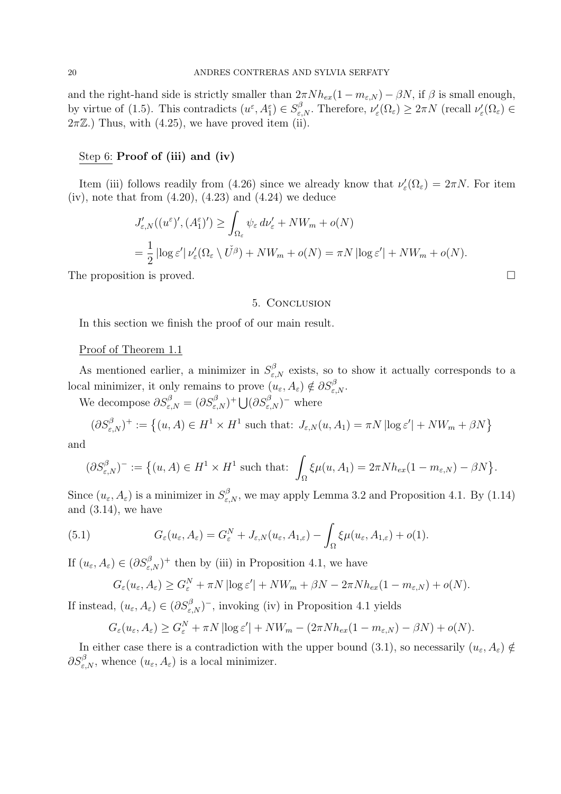and the right-hand side is strictly smaller than  $2\pi N h_{ex}(1 - m_{\epsilon,N}) - \beta N$ , if  $\beta$  is small enough, by virtue of (1.5). This contradicts  $(u^{\varepsilon}, A_1^{\varepsilon}) \in S_{\varepsilon,N}^{\beta}$ . Therefore,  $\nu_{\varepsilon}'(\Omega_{\varepsilon}) \geq 2\pi N$  (recall  $\nu_{\varepsilon}'(\Omega_{\varepsilon}) \in$  $2\pi\mathbb{Z}$ .) Thus, with (4.25), we have proved item (ii).

## Step 6: Proof of (iii) and (iv)

Item (iii) follows readily from (4.26) since we already know that  $\nu'_{\varepsilon}(\Omega_{\varepsilon}) = 2\pi N$ . For item (iv), note that from  $(4.20)$ ,  $(4.23)$  and  $(4.24)$  we deduce

$$
J'_{\varepsilon,N}((u^{\varepsilon})', (A_1^{\varepsilon})') \ge \int_{\Omega_{\varepsilon}} \psi_{\varepsilon} d\nu'_{\varepsilon} + NW_m + o(N)
$$
  
=  $\frac{1}{2} |\log \varepsilon'| \nu'_{\varepsilon} (\Omega_{\varepsilon} \setminus U^{\beta}) + NW_m + o(N) = \pi N |\log \varepsilon'| + NW_m + o(N).$ 

The proposition is proved.

## 5. Conclusion

In this section we finish the proof of our main result.

## Proof of Theorem 1.1

As mentioned earlier, a minimizer in  $S_{\varepsilon,N}^{\beta}$  exists, so to show it actually corresponds to a local minimizer, it only remains to prove  $(u_{\varepsilon}, A_{\varepsilon}) \notin \partial S^{\beta}_{\varepsilon, N}$ .

We decompose  $\partial S^{\beta}_{\varepsilon,N} = (\partial S^{\beta}_{\varepsilon,N})^{+} \bigcup (\partial S^{\beta}_{\varepsilon,N})^{-}$  where

 $(\partial S_{\varepsilon,N}^{\beta})^+ := \left\{(u, A) \in H^1 \times H^1 \text{ such that: } J_{\varepsilon,N}(u, A_1) = \pi N \left| \log \varepsilon' \right| + NW_m + \beta N \right\}$ 

and

$$
(\partial S_{\varepsilon,N}^{\beta})^{-} := \left\{ (u, A) \in H^1 \times H^1 \text{ such that: } \int_{\Omega} \xi \mu(u, A_1) = 2\pi N h_{ex} (1 - m_{\varepsilon,N}) - \beta N \right\}.
$$

Since  $(u_{\varepsilon}, A_{\varepsilon})$  is a minimizer in  $S^{\beta}_{\varepsilon,N}$ , we may apply Lemma 3.2 and Proposition 4.1. By (1.14) and  $(3.14)$ , we have

(5.1) 
$$
G_{\varepsilon}(u_{\varepsilon}, A_{\varepsilon}) = G_{\varepsilon}^{N} + J_{\varepsilon, N}(u_{\varepsilon}, A_{1, \varepsilon}) - \int_{\Omega} \xi \mu(u_{\varepsilon}, A_{1, \varepsilon}) + o(1).
$$

If  $(u_{\varepsilon}, A_{\varepsilon}) \in (\partial S^{\beta}_{\varepsilon,N})^{+}$  then by (iii) in Proposition 4.1, we have

$$
G_{\varepsilon}(u_{\varepsilon}, A_{\varepsilon}) \geq G_{\varepsilon}^{N} + \pi N \left| \log \varepsilon' \right| + NW_{m} + \beta N - 2\pi Nh_{ex}(1 - m_{\varepsilon,N}) + o(N).
$$

If instead,  $(u_{\varepsilon}, A_{\varepsilon}) \in (\partial S^{\beta}_{\varepsilon,N})^{-}$ , invoking (iv) in Proposition 4.1 yields

$$
G_{\varepsilon}(u_{\varepsilon}, A_{\varepsilon}) \geq G_{\varepsilon}^{N} + \pi N \left| \log \varepsilon' \right| + NW_{m} - (2\pi Nh_{ex}(1 - m_{\varepsilon,N}) - \beta N) + o(N).
$$

In either case there is a contradiction with the upper bound (3.1), so necessarily  $(u_{\varepsilon}, A_{\varepsilon}) \notin$  $\partial S^{\beta}_{\varepsilon,N}$ , whence  $(u_{\varepsilon}, A_{\varepsilon})$  is a local minimizer.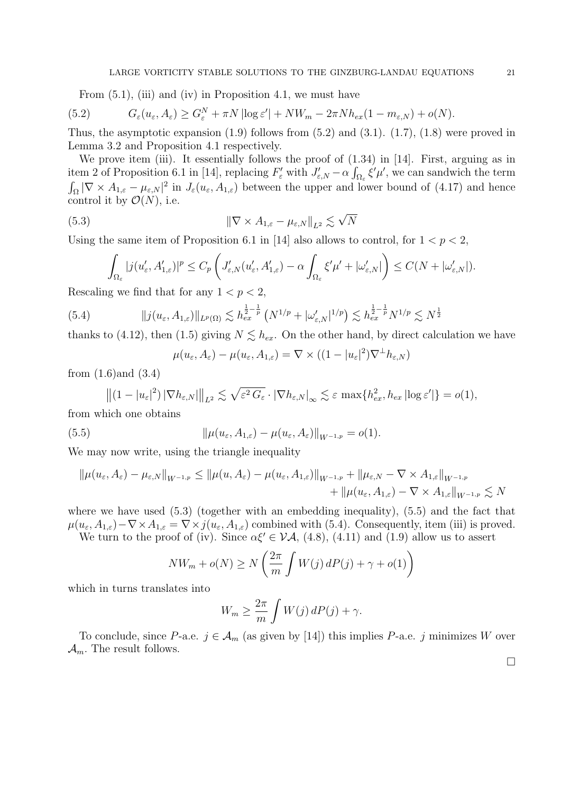From (5.1), (iii) and (iv) in Proposition 4.1, we must have

(5.2) 
$$
G_{\varepsilon}(u_{\varepsilon}, A_{\varepsilon}) \geq G_{\varepsilon}^{N} + \pi N \left| \log \varepsilon' \right| + N W_{m} - 2\pi N h_{ex} (1 - m_{\varepsilon, N}) + o(N).
$$

Thus, the asymptotic expansion  $(1.9)$  follows from  $(5.2)$  and  $(3.1)$ .  $(1.7)$ ,  $(1.8)$  were proved in Lemma 3.2 and Proposition 4.1 respectively.

We prove item (iii). It essentially follows the proof of  $(1.34)$  in [14]. First, arguing as in item 2 of Proposition 6.1 in [14], replacing  $F'_{\varepsilon}$  with  $J'_{\varepsilon,N} - \alpha \int_{\Omega_{\varepsilon}} \xi' \mu'$ , we can sandwich the term  $\int_{\Omega} |\nabla \times A_{1,\varepsilon} - \mu_{\varepsilon,N}|^2$  in  $J_{\varepsilon}(u_{\varepsilon}, A_{1,\varepsilon})$  between the upper and lower bound of  $(4.17)$  and hence control it by  $\mathcal{O}(N)$ , i.e.

(5.3) 
$$
\|\nabla \times A_{1,\varepsilon} - \mu_{\varepsilon,N}\|_{L^2} \lesssim \sqrt{N}
$$

Using the same item of Proposition 6.1 in [14] also allows to control, for  $1 < p < 2$ ,

$$
\int_{\Omega_{\varepsilon}}|j(u_{\varepsilon}',A_{1,\varepsilon}')|^p\leq C_p\left(J_{\varepsilon,N}'(u_{\varepsilon}',A_{1,\varepsilon}')-\alpha\int_{\Omega_{\varepsilon}}\xi'\mu'+|\omega_{\varepsilon,N}'|\right)\leq C(N+|\omega_{\varepsilon,N}'|).
$$

Rescaling we find that for any  $1 < p < 2$ ,

$$
(5.4) \t\t ||j(u_{\varepsilon}, A_{1,\varepsilon})||_{L^{p}(\Omega)} \lesssim h_{ex}^{\frac{1}{2}-\frac{1}{p}} \left(N^{1/p} + |\omega'_{\varepsilon,N}|^{1/p}\right) \lesssim h_{ex}^{\frac{1}{2}-\frac{1}{p}} N^{1/p} \lesssim N^{\frac{1}{2}}
$$

thanks to (4.12), then (1.5) giving  $N \leq h_{ex}$ . On the other hand, by direct calculation we have

$$
\mu(u_{\varepsilon}, A_{\varepsilon}) - \mu(u_{\varepsilon}, A_{1, \varepsilon}) = \nabla \times ((1 - |u_{\varepsilon}|^2) \nabla^{\perp} h_{\varepsilon, N})
$$

from (1.6)and (3.4)

$$
\left\| \left(1 - |u_{\varepsilon}|^{2}\right) |\nabla h_{\varepsilon,N}| \right\|_{L^{2}} \lesssim \sqrt{\varepsilon^{2} G_{\varepsilon}} \cdot \left| \nabla h_{\varepsilon,N} \right|_{\infty} \lesssim \varepsilon \, \max\{h_{ex}^{2}, h_{ex} \, |\log \varepsilon'| \} = o(1),
$$

from which one obtains

(5.5) 
$$
\|\mu(u_{\varepsilon}, A_{1,\varepsilon}) - \mu(u_{\varepsilon}, A_{\varepsilon})\|_{W^{-1,p}} = o(1).
$$

We may now write, using the triangle inequality

$$
\|\mu(u_{\varepsilon}, A_{\varepsilon}) - \mu_{\varepsilon,N}\|_{W^{-1,p}} \le \|\mu(u, A_{\varepsilon}) - \mu(u_{\varepsilon}, A_{1,\varepsilon})\|_{W^{-1,p}} + \|\mu_{\varepsilon,N} - \nabla \times A_{1,\varepsilon}\|_{W^{-1,p}} + \|\mu(u_{\varepsilon}, A_{1,\varepsilon}) - \nabla \times A_{1,\varepsilon}\|_{W^{-1,p}} \lesssim N
$$

where we have used  $(5.3)$  (together with an embedding inequality),  $(5.5)$  and the fact that  $\mu(u_{\varepsilon}, A_{1,\varepsilon}) - \nabla \times A_{1,\varepsilon} = \nabla \times j(u_{\varepsilon}, A_{1,\varepsilon})$  combined with (5.4). Consequently, item (iii) is proved.

We turn to the proof of (iv). Since  $\alpha \xi' \in \mathcal{VA}$ , (4.8), (4.11) and (1.9) allow us to assert

$$
NW_m + o(N) \ge N \left(\frac{2\pi}{m} \int W(j) \, dP(j) + \gamma + o(1)\right)
$$

which in turns translates into

$$
W_m \ge \frac{2\pi}{m} \int W(j) \, dP(j) + \gamma.
$$

To conclude, since P-a.e.  $j \in \mathcal{A}_m$  (as given by [14]) this implies P-a.e. j minimizes W over  $\mathcal{A}_m$ . The result follows.

 $\Box$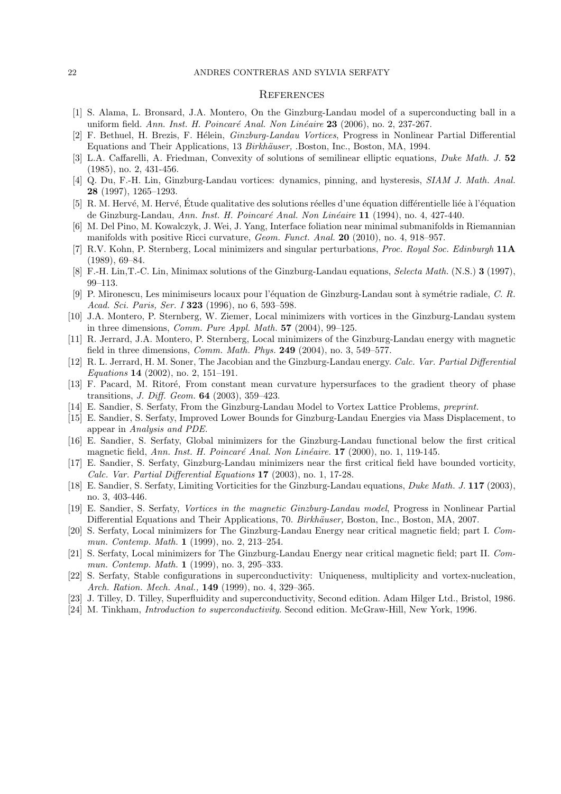#### 22 ANDRES CONTRERAS AND SYLVIA SERFATY

### **REFERENCES**

- [1] S. Alama, L. Bronsard, J.A. Montero, On the Ginzburg-Landau model of a superconducting ball in a uniform field. Ann. Inst. H. Poincaré Anal. Non Linéaire  $23$  (2006), no. 2, 237-267.
- [2] F. Bethuel, H. Brezis, F. Hélein, *Ginzburg-Landau Vortices*, Progress in Nonlinear Partial Differential Equations and Their Applications, 13 Birkhäuser, .Boston, Inc., Boston, MA, 1994.
- [3] L.A. Caffarelli, A. Friedman, Convexity of solutions of semilinear elliptic equations, Duke Math. J. 52 (1985), no. 2, 431-456.
- [4] Q. Du, F.-H. Lin, Ginzburg-Landau vortices: dynamics, pinning, and hysteresis, SIAM J. Math. Anal. 28 (1997), 1265–1293.
- [5] R. M. Hervé, M. Hervé, Étude qualitative des solutions réelles d'une équation différentielle liée à l'équation de Ginzburg-Landau, Ann. Inst. H. Poincaré Anal. Non Linéaire 11 (1994), no. 4, 427-440.
- [6] M. Del Pino, M. Kowalczyk, J. Wei, J. Yang, Interface foliation near minimal submanifolds in Riemannian manifolds with positive Ricci curvature, *Geom. Funct. Anal.* **20** (2010), no. 4, 918–957.
- [7] R.V. Kohn, P. Sternberg, Local minimizers and singular perturbations, Proc. Royal Soc. Edinburgh 11A (1989), 69–84.
- [8] F.-H. Lin,T.-C. Lin, Minimax solutions of the Ginzburg-Landau equations, Selecta Math. (N.S.) 3 (1997), 99–113.
- [9] P. Mironescu, Les minimiseurs locaux pour l'équation de Ginzburg-Landau sont à symétrie radiale, C. R. Acad. Sci. Paris, Ser. I 323 (1996), no 6, 593-598.
- [10] J.A. Montero, P. Sternberg, W. Ziemer, Local minimizers with vortices in the Ginzburg-Landau system in three dimensions, *Comm. Pure Appl. Math.*  $57$  (2004), 99–125.
- [11] R. Jerrard, J.A. Montero, P. Sternberg, Local minimizers of the Ginzburg-Landau energy with magnetic field in three dimensions, Comm. Math. Phys. 249 (2004), no. 3, 549–577.
- [12] R. L. Jerrard, H. M. Soner, The Jacobian and the Ginzburg-Landau energy. Calc. Var. Partial Differential Equations 14 (2002), no. 2, 151–191.
- [13] F. Pacard, M. Ritoré, From constant mean curvature hypersurfaces to the gradient theory of phase transitions, J. Diff. Geom. 64 (2003), 359–423.
- [14] E. Sandier, S. Serfaty, From the Ginzburg-Landau Model to Vortex Lattice Problems, preprint.
- [15] E. Sandier, S. Serfaty, Improved Lower Bounds for Ginzburg-Landau Energies via Mass Displacement, to appear in Analysis and PDE.
- [16] E. Sandier, S. Serfaty, Global minimizers for the Ginzburg-Landau functional below the first critical magnetic field, Ann. Inst. H. Poincaré Anal. Non Linéaire.  $17$  (2000), no. 1, 119-145.
- [17] E. Sandier, S. Serfaty, Ginzburg-Landau minimizers near the first critical field have bounded vorticity, Calc. Var. Partial Differential Equations 17 (2003), no. 1, 17-28.
- [18] E. Sandier, S. Serfaty, Limiting Vorticities for the Ginzburg-Landau equations, Duke Math. J. 117 (2003), no. 3, 403-446.
- [19] E. Sandier, S. Serfaty, Vortices in the magnetic Ginzburg-Landau model, Progress in Nonlinear Partial Differential Equations and Their Applications, 70. Birkhäuser, Boston, Inc., Boston, MA, 2007.
- [20] S. Serfaty, Local minimizers for The Ginzburg-Landau Energy near critical magnetic field; part I. Commun. Contemp. Math. **1** (1999), no. 2, 213-254.
- [21] S. Serfaty, Local minimizers for The Ginzburg-Landau Energy near critical magnetic field; part II. Commun. Contemp. Math. **1** (1999), no. 3, 295-333.
- [22] S. Serfaty, Stable configurations in superconductivity: Uniqueness, multiplicity and vortex-nucleation, Arch. Ration. Mech. Anal., 149 (1999), no. 4, 329–365.
- [23] J. Tilley, D. Tilley, Superfluidity and superconductivity, Second edition. Adam Hilger Ltd., Bristol, 1986.
- [24] M. Tinkham, Introduction to superconductivity. Second edition. McGraw-Hill, New York, 1996.